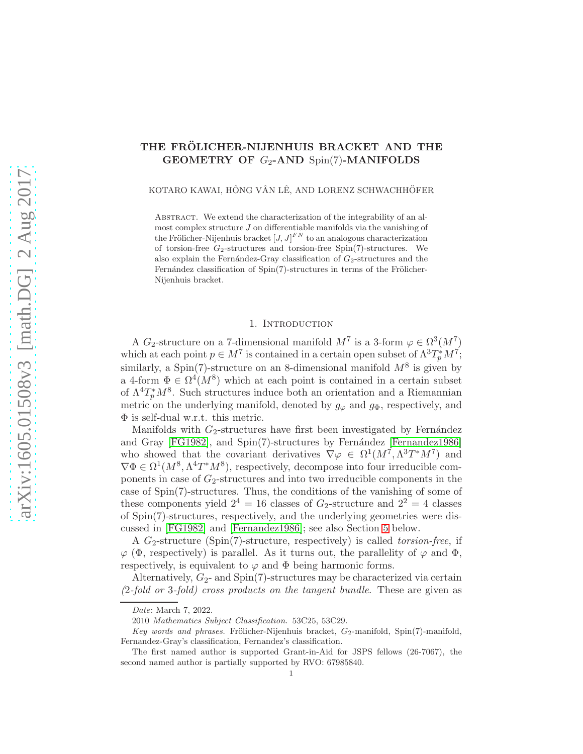# THE FRÖLICHER-NIJENHUIS BRACKET AND THE GEOMETRY OF  $G_2$ -AND Spin(7)-MANIFOLDS

KOTARO KAWAI, HÔNG VÂN LÊ, AND LORENZ SCHWACHHÖFER

Abstract. We extend the characterization of the integrability of an almost complex structure  $J$  on differentiable manifolds via the vanishing of the Frölicher-Nijenhuis bracket  $[J, J]^{FN}$  to an analogous characterization of torsion-free  $G_2$ -structures and torsion-free Spin(7)-structures. We also explain the Fernández-Gray classification of  $G_2$ -structures and the Fernández classification of  $Spin(7)$ -structures in terms of the Frölicher-Nijenhuis bracket.

#### 1. Introduction

A  $G_2$ -structure on a 7-dimensional manifold  $M^7$  is a 3-form  $\varphi \in \Omega^3(M^7)$ which at each point  $p \in M^7$  is contained in a certain open subset of  $\Lambda^3 T_p^* M^7$ ; similarly, a Spin(7)-structure on an 8-dimensional manifold  $M^8$  is given by a 4-form  $\Phi \in \Omega^4(M^8)$  which at each point is contained in a certain subset of  $\Lambda^4 T_p^* M^8$ . Such structures induce both an orientation and a Riemannian metric on the underlying manifold, denoted by  $g_{\varphi}$  and  $g_{\Phi}$ , respectively, and Φ is self-dual w.r.t. this metric.

Manifolds with  $G_2$ -structures have first been investigated by Fernández and Gray [\[FG1982\]](#page-23-0), and Spin(7)-structures by Fernandez [\[Fernandez1986\]](#page-23-1) who showed that the covariant derivatives  $\nabla \varphi \in \Omega^1(M^7, \Lambda^3 T^* M^7)$  and  $\nabla \Phi \in \Omega^1(M^8, \Lambda^4 T^* M^8)$ , respectively, decompose into four irreducible components in case of  $G_2$ -structures and into two irreducible components in the case of Spin(7)-structures. Thus, the conditions of the vanishing of some of these components yield  $2^4 = 16$  classes of  $G_2$ -structure and  $2^2 = 4$  classes of Spin(7)-structures, respectively, and the underlying geometries were discussed in [\[FG1982\]](#page-23-0) and [\[Fernandez1986\]](#page-23-1); see also Section [5](#page-17-0) below.

A  $G_2$ -structure (Spin(7)-structure, respectively) is called *torsion-free*, if  $\varphi$  ( $\Phi$ , respectively) is parallel. As it turns out, the parallelity of  $\varphi$  and  $\Phi$ , respectively, is equivalent to  $\varphi$  and  $\Phi$  being harmonic forms.

Alternatively,  $G_2$ - and Spin(7)-structures may be characterized via certain (2-fold or 3-fold) cross products on the tangent bundle. These are given as

Date: March 7, 2022.

<sup>2010</sup> Mathematics Subject Classification. 53C25, 53C29.

Key words and phrases. Frölicher-Nijenhuis bracket,  $G_2$ -manifold, Spin(7)-manifold, Fernandez-Gray's classification, Fernandez's classification.

The first named author is supported Grant-in-Aid for JSPS fellows (26-7067), the second named author is partially supported by RVO: 67985840.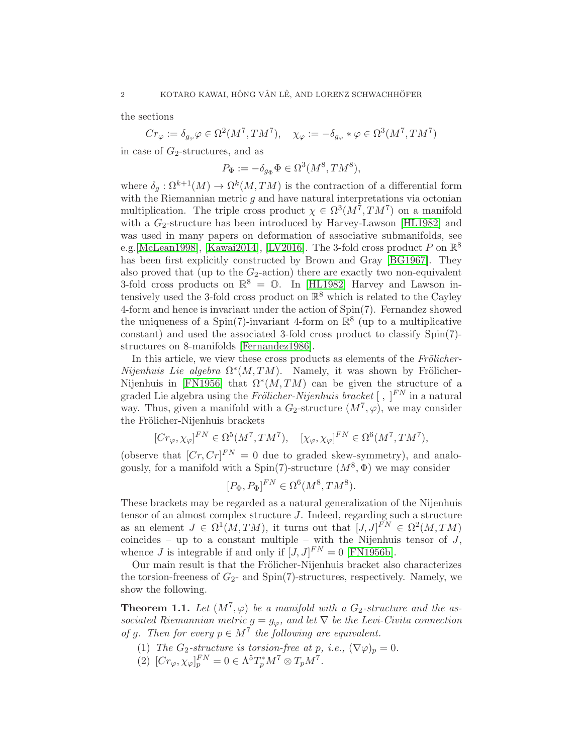the sections

 $Cr_{\varphi} := \delta_{g_{\varphi}} \varphi \in \Omega^2(M^7, TM^7), \quad \chi_{\varphi} := -\delta_{g_{\varphi}} * \varphi \in \Omega^3(M^7, TM^7)$ 

in case of  $G_2$ -structures, and as

$$
P_{\Phi} := -\delta_{g_{\Phi}} \Phi \in \Omega^3(M^8, TM^8),
$$

where  $\delta_g: \Omega^{k+1}(M) \to \Omega^k(M, TM)$  is the contraction of a differential form with the Riemannian metric  $g$  and have natural interpretations via octonian multiplication. The triple cross product  $\chi \in \Omega^3(M^7, TM^7)$  on a manifold with a  $G_2$ -structure has been introduced by Harvey-Lawson [\[HL1982\]](#page-24-0) and was used in many papers on deformation of associative submanifolds, see e.g.[\[McLean1998\]](#page-24-1), [\[Kawai2014\]](#page-24-2), [\[LV2016\]](#page-24-3). The 3-fold cross product  $P$  on  $\mathbb{R}^8$ has been first explicitly constructed by Brown and Gray [\[BG1967\]](#page-23-2). They also proved that (up to the  $G_2$ -action) there are exactly two non-equivalent 3-fold cross products on  $\mathbb{R}^8 = \mathbb{O}$ . In [\[HL1982\]](#page-24-0) Harvey and Lawson intensively used the 3-fold cross product on  $\mathbb{R}^8$  which is related to the Cayley 4-form and hence is invariant under the action of Spin(7). Fernandez showed the uniqueness of a Spin(7)-invariant 4-form on  $\mathbb{R}^8$  (up to a multiplicative constant) and used the associated 3-fold cross product to classify Spin(7) structures on 8-manifolds [\[Fernandez1986\]](#page-23-1).

In this article, we view these cross products as elements of the Frölicher-Nijenhuis Lie algebra  $\Omega^*(M, TM)$ . Namely, it was shown by Frölicher-Nijenhuis in [\[FN1956\]](#page-23-3) that  $\Omega^*(M, TM)$  can be given the structure of a graded Lie algebra using the Frölicher-Nijenhuis bracket  $[ , ]^{FN}$  in a natural way. Thus, given a manifold with a  $G_2$ -structure  $(M^7, \varphi)$ , we may consider the Frölicher-Nijenhuis brackets

$$
[Cr_{\varphi}, \chi_{\varphi}]^{FN} \in \Omega^{5}(M^{7}, TM^{7}), \quad [\chi_{\varphi}, \chi_{\varphi}]^{FN} \in \Omega^{6}(M^{7}, TM^{7}),
$$

(observe that  $[Cr, Cr]^{FN} = 0$  due to graded skew-symmetry), and analogously, for a manifold with a Spin(7)-structure  $(M^8, \Phi)$  we may consider

$$
[P_{\Phi}, P_{\Phi}]^{FN} \in \Omega^{6}(M^{8}, TM^{8}).
$$

These brackets may be regarded as a natural generalization of the Nijenhuis tensor of an almost complex structure J. Indeed, regarding such a structure as an element  $J \in \Omega^1(M, TM)$ , it turns out that  $[J, J]^{FN} \in \Omega^2(M, TM)$ coincides – up to a constant multiple – with the Nijenhuis tensor of  $J$ , whence *J* is integrable if and only if  $[J, J]^{FN} = 0$  [\[FN1956b\]](#page-24-4).

Our main result is that the Frölicher-Nijenhuis bracket also characterizes the torsion-freeness of  $G_2$ - and Spin(7)-structures, respectively. Namely, we show the following.

<span id="page-1-0"></span>**Theorem 1.1.** Let  $(M^7, \varphi)$  be a manifold with a  $G_2$ -structure and the associated Riemannian metric  $g = g_{\varphi}$ , and let  $\nabla$  be the Levi-Civita connection of g. Then for every  $p \in M^7$  the following are equivalent.

- (1) The G<sub>2</sub>-structure is torsion-free at p, i.e.,  $(\nabla \varphi)_p = 0$ .
- (2)  $[Cr_{\varphi}, \chi_{\varphi}]_p^{FN} = 0 \in \Lambda^5 T_p^* M^7 \otimes T_p M^7.$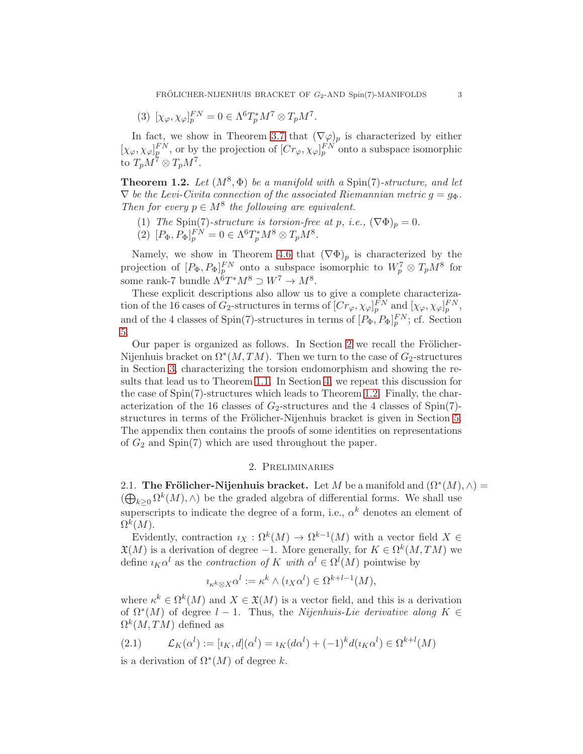$$
(3) \ [\chi_{\varphi}, \chi_{\varphi}]_p^{FN} = 0 \in \Lambda^6 T_p^* M^7 \otimes T_p M^7.
$$

In fact, we show in Theorem [3.7](#page-11-0) that  $(\nabla \varphi)_p$  is characterized by either  $[\chi_{\varphi}, \chi_{\varphi}]_p^{FN}$ , or by the projection of  $[Cr_{\varphi}, \chi_{\varphi}]_p^{FN}$  onto a subspace isomorphic to  $T_pM^7\otimes T_pM^7$ .

<span id="page-2-1"></span>**Theorem 1.2.** Let  $(M^8, \Phi)$  be a manifold with a Spin(7)-structure, and let  $\nabla$  be the Levi-Civita connection of the associated Riemannian metric  $q = q_{\Phi}$ . Then for every  $p \in M^8$  the following are equivalent.

- (1) The Spin(7)-structure is torsion-free at p, i.e.,  $(\nabla \Phi)_p = 0$ .
- (2)  $[P_{\Phi}, P_{\Phi}]_p^{FN} = 0 \in \Lambda^6 T_p^* M^8 \otimes T_p M^8.$

Namely, we show in Theorem [4.6](#page-17-1) that  $(\nabla \Phi)_p$  is characterized by the projection of  $[P_{\Phi}, P_{\Phi}]_p^{FN}$  onto a subspace isomorphic to  $W_p^7 \otimes T_p M^8$  for some rank-7 bundle  $\Lambda^6 T^* M^8 \supset W^7 \to M^8$ .

These explicit descriptions also allow us to give a complete characterization of the 16 cases of  $G_2$ -structures in terms of  $[Cr_\varphi, \chi_\varphi]_p^{FN}$  and  $[\chi_\varphi, \chi_\varphi]_p^{FN}$ , and of the 4 classes of Spin(7)-structures in terms of  $[P_{\Phi}, P_{\Phi}]_p^{FN}$ ; cf. Section [5.](#page-17-0)

Our paper is organized as follows. In Section [2](#page-2-0) we recall the Frölicher-Nijenhuis bracket on  $\Omega^*(M, TM)$ . Then we turn to the case of  $G_2$ -structures in Section [3,](#page-5-0) characterizing the torsion endomorphism and showing the results that lead us to Theorem [1.1.](#page-1-0) In Section [4,](#page-12-0) we repeat this discussion for the case of Spin(7)-structures which leads to Theorem [1.2.](#page-2-1) Finally, the characterization of the 16 classes of  $G_2$ -structures and the 4 classes of Spin(7)-structures in terms of the Frölicher-Nijenhuis bracket is given in Section [5.](#page-17-0) The appendix then contains the proofs of some identities on representations of  $G_2$  and  $Spin(7)$  which are used throughout the paper.

### 2. Preliminaries

<span id="page-2-0"></span>2.1. The Frölicher-Nijenhuis bracket. Let M be a manifold and  $(\Omega^*(M), \wedge)$  =  $(\bigoplus_{k\geq 0} \Omega^k(M), \wedge)$  be the graded algebra of differential forms. We shall use superscripts to indicate the degree of a form, i.e.,  $\alpha^{k}$  denotes an element of  $\Omega^k(M).$ 

Evidently, contraction  $i_X : \Omega^k(M) \to \Omega^{k-1}(M)$  with a vector field  $X \in$  $\mathfrak{X}(M)$  is a derivation of degree -1. More generally, for  $K \in \Omega^k(M, TM)$  we define  $i_K \alpha^l$  as the *contraction of* K with  $\alpha^l \in \Omega^l(M)$  pointwise by

$$
\imath_{\kappa^k \otimes X} \alpha^l := \kappa^k \wedge (\imath_X \alpha^l) \in \Omega^{k+l-1}(M),
$$

where  $\kappa^k \in \Omega^k(M)$  and  $X \in \mathfrak{X}(M)$  is a vector field, and this is a derivation of  $\Omega^*(M)$  of degree  $l-1$ . Thus, the Nijenhuis-Lie derivative along  $K \in$  $\Omega^k(M,TM)$  defined as

<span id="page-2-2"></span>(2.1) 
$$
\mathcal{L}_K(\alpha^l) := [i_K, d](\alpha^l) = i_K(d\alpha^l) + (-1)^k d(i_K \alpha^l) \in \Omega^{k+l}(M)
$$

is a derivation of  $\Omega^*(M)$  of degree k.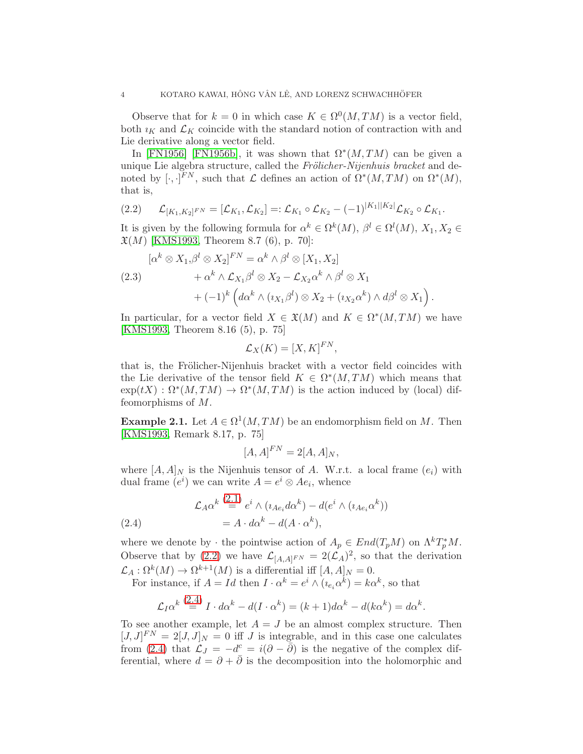Observe that for  $k = 0$  in which case  $K \in \Omega^0(M, TM)$  is a vector field, both  $i_K$  and  $\mathcal{L}_K$  coincide with the standard notion of contraction with and Lie derivative along a vector field.

In [\[FN1956\]](#page-23-3) [\[FN1956b\]](#page-24-4), it was shown that  $\Omega^*(M, TM)$  can be given a unique Lie algebra structure, called the Frölicher-Nijenhuis bracket and denoted by [ $\cdot$ , ·]<sup>*FN*</sup>, such that  $\mathcal L$  defines an action of  $\Omega^*(M, TM)$  on  $\Omega^*(M)$ , that is,

<span id="page-3-0"></span>
$$
(2.2) \qquad \mathcal{L}_{[K_1,K_2]^{FN}} = [\mathcal{L}_{K_1}, \mathcal{L}_{K_2}] =: \mathcal{L}_{K_1} \circ \mathcal{L}_{K_2} - (-1)^{|K_1||K_2|} \mathcal{L}_{K_2} \circ \mathcal{L}_{K_1}.
$$

It is given by the following formula for  $\alpha^k \in \Omega^k(M)$ ,  $\beta^l \in \Omega^l(M)$ ,  $X_1, X_2 \in$  $\mathfrak{X}(M)$  [\[KMS1993,](#page-24-5) Theorem 8.7 (6), p. 70]:

<span id="page-3-2"></span>
$$
[\alpha^{k} \otimes X_{1}, \beta^{l} \otimes X_{2}]^{FN} = \alpha^{k} \wedge \beta^{l} \otimes [X_{1}, X_{2}]
$$
  
\n
$$
+ \alpha^{k} \wedge \mathcal{L}_{X_{1}} \beta^{l} \otimes X_{2} - \mathcal{L}_{X_{2}} \alpha^{k} \wedge \beta^{l} \otimes X_{1}
$$
  
\n
$$
+ (-1)^{k} \left( d\alpha^{k} \wedge (\imath_{X_{1}} \beta^{l}) \otimes X_{2} + (\imath_{X_{2}} \alpha^{k}) \wedge d\beta^{l} \otimes X_{1} \right).
$$

In particular, for a vector field  $X \in \mathfrak{X}(M)$  and  $K \in \Omega^*(M, TM)$  we have [\[KMS1993,](#page-24-5) Theorem 8.16 (5), p. 75]

$$
\mathcal{L}_X(K) = [X, K]^{FN},
$$

that is, the Frölicher-Nijenhuis bracket with a vector field coincides with the Lie derivative of the tensor field  $K \in \Omega^*(M, TM)$  which means that  $\exp(tX): \Omega^*(M, TM) \to \Omega^*(M, TM)$  is the action induced by (local) diffeomorphisms of M.

**Example 2.1.** Let  $A \in \Omega^1(M, TM)$  be an endomorphism field on M. Then [\[KMS1993,](#page-24-5) Remark 8.17, p. 75]

$$
[A,A]^{FN} = 2[A,A]_N,
$$

where  $[A, A]_N$  is the Nijenhuis tensor of A. W.r.t. a local frame  $(e_i)$  with dual frame  $(e^i)$  we can write  $A = e^i \otimes Ae_i$ , whence

(2.4) 
$$
\mathcal{L}_{A}\alpha^{k} \stackrel{(2.1)}{=} e^{i} \wedge (i_{Ae_i}d\alpha^{k}) - d(e^{i} \wedge (i_{Ae_i}\alpha^{k}))
$$

$$
= A \cdot d\alpha^{k} - d(A \cdot \alpha^{k}),
$$

<span id="page-3-1"></span>where we denote by  $\cdot$  the pointwise action of  $A_p \in End(T_pM)$  on  $\Lambda^k T_p^*M$ . Observe that by [\(2.2\)](#page-3-0) we have  $\mathcal{L}_{[A,A]^{FN}} = 2(\mathcal{L}_A)^2$ , so that the derivation  $\mathcal{L}_A : \Omega^k(M) \to \Omega^{k+1}(M)$  is a differential iff  $[A, A]_N = 0$ .

For instance, if  $A = Id$  then  $I \cdot \alpha^k = e^i \wedge (\iota_{e_i} \alpha^k) = k \alpha^k$ , so that

$$
\mathcal{L}_I \alpha^{k} \stackrel{(2.4)}{=} I \cdot d\alpha^k - d(I \cdot \alpha^k) = (k+1)d\alpha^k - d(k\alpha^k) = d\alpha^k.
$$

To see another example, let  $A = J$  be an almost complex structure. Then  $[J, J]^{FN} = 2[J, J]_N = 0$  iff J is integrable, and in this case one calculates from [\(2.4\)](#page-3-1) that  $\mathcal{L}_J = -d^c = i(\partial - \overline{\partial})$  is the negative of the complex differential, where  $d = \partial + \overline{\partial}$  is the decomposition into the holomorphic and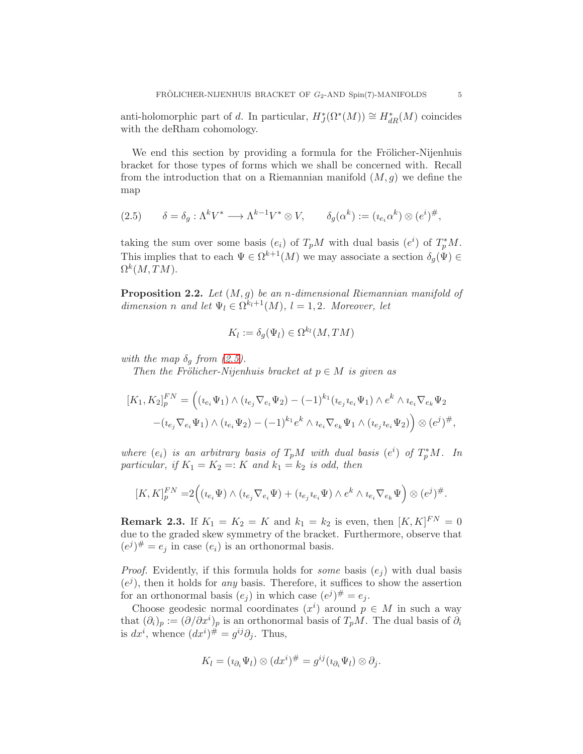anti-holomorphic part of d. In particular,  $H_J^*(\Omega^*(M)) \cong H_{dR}^*(M)$  coincides with the deRham cohomology.

We end this section by providing a formula for the Frölicher-Nijenhuis bracket for those types of forms which we shall be concerned with. Recall from the introduction that on a Riemannian manifold  $(M, g)$  we define the map

<span id="page-4-0"></span>(2.5) 
$$
\delta = \delta_g : \Lambda^k V^* \longrightarrow \Lambda^{k-1} V^* \otimes V, \qquad \delta_g(\alpha^k) := (\iota_{e_i} \alpha^k) \otimes (e^i)^{\#},
$$

taking the sum over some basis  $(e_i)$  of  $T_pM$  with dual basis  $(e^i)$  of  $T_p^*M$ . This implies that to each  $\Psi \in \Omega^{k+1}(M)$  we may associate a section  $\delta_g(\Psi) \in$  $\Omega^k(M,TM).$ 

<span id="page-4-1"></span>**Proposition 2.2.** Let  $(M, g)$  be an n-dimensional Riemannian manifold of dimension n and let  $\Psi_l \in \Omega^{k_l+1}(M)$ ,  $l = 1, 2$ . Moreover, let

$$
K_l := \delta_g(\Psi_l) \in \Omega^{k_l}(M, TM)
$$

with the map  $\delta_q$  from [\(2.5\)](#page-4-0).

Then the Frölicher-Nijenhuis bracket at  $p \in M$  is given as

$$
[K_1, K_2]_p^{FN} = ((\iota_{e_i} \Psi_1) \wedge (\iota_{e_j} \nabla_{e_i} \Psi_2) - (-1)^{k_1} (\iota_{e_j} \iota_{e_i} \Psi_1) \wedge e^k \wedge \iota_{e_i} \nabla_{e_k} \Psi_2 - (\iota_{e_j} \nabla_{e_i} \Psi_1) \wedge (\iota_{e_i} \Psi_2) - (-1)^{k_1} e^k \wedge \iota_{e_i} \nabla_{e_k} \Psi_1 \wedge (\iota_{e_j} \iota_{e_i} \Psi_2) \big) \otimes (e^j)^{\#},
$$

where  $(e_i)$  is an arbitrary basis of  $T_pM$  with dual basis  $(e^i)$  of  $T_p^*M$ . In particular, if  $K_1 = K_2 =: K$  and  $k_1 = k_2$  is odd, then

$$
[K, K]_p^{FN} = 2((\iota_{e_i}\Psi) \wedge (\iota_{e_j}\nabla_{e_i}\Psi) + (\iota_{e_j}\iota_{e_i}\Psi) \wedge e^k \wedge \iota_{e_i}\nabla_{e_k}\Psi) \otimes (e^j)^{\#}.
$$

**Remark 2.3.** If  $K_1 = K_2 = K$  and  $k_1 = k_2$  is even, then  $[K, K]^{FN} = 0$ due to the graded skew symmetry of the bracket. Furthermore, observe that  $(e^{j})^{\#} = e_{j}$  in case  $(e_{i})$  is an orthonormal basis.

*Proof.* Evidently, if this formula holds for *some* basis  $(e_i)$  with dual basis  $(e^{j})$ , then it holds for *any* basis. Therefore, it suffices to show the assertion for an orthonormal basis  $(e_j)$  in which case  $(e^j)^\# = e_j$ .

Choose geodesic normal coordinates  $(x^{i})$  around  $p \in M$  in such a way that  $(\partial_i)_p := (\partial/\partial x^i)_p$  is an orthonormal basis of  $T_pM$ . The dual basis of  $\partial_i$ is  $dx^i$ , whence  $(dx^i)^{\#} = g^{ij}\partial_j$ . Thus,

$$
K_l = (\iota_{\partial_i} \Psi_l) \otimes (dx^i)^{\#} = g^{ij} (\iota_{\partial_i} \Psi_l) \otimes \partial_j.
$$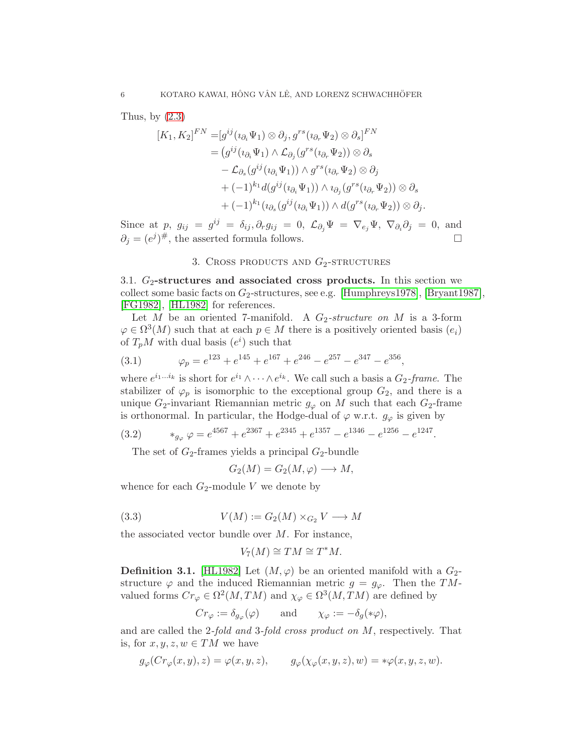Thus, by  $(2.3)$ 

$$
[K_1, K_2]^{FN} = [g^{ij}(\imath_{\partial_i} \Psi_1) \otimes \partial_j, g^{rs}(\imath_{\partial_r} \Psi_2) \otimes \partial_s]^{FN}
$$
  
\n
$$
= (g^{ij}(\imath_{\partial_i} \Psi_1) \wedge \mathcal{L}_{\partial_j} (g^{rs}(\imath_{\partial_r} \Psi_2)) \otimes \partial_s
$$
  
\n
$$
- \mathcal{L}_{\partial_s} (g^{ij}(\imath_{\partial_i} \Psi_1)) \wedge g^{rs}(\imath_{\partial_r} \Psi_2) \otimes \partial_j
$$
  
\n
$$
+ (-1)^{k_1} d(g^{ij}(\imath_{\partial_i} \Psi_1)) \wedge \imath_{\partial_j} (g^{rs}(\imath_{\partial_r} \Psi_2)) \otimes \partial_s
$$
  
\n
$$
+ (-1)^{k_1} (\imath_{\partial_s} (g^{ij}(\imath_{\partial_i} \Psi_1)) \wedge d(g^{rs}(\imath_{\partial_r} \Psi_2)) \otimes \partial_j.
$$

<span id="page-5-0"></span>Since at p,  $g_{ij} = g^{ij} = \delta_{ij}, \partial_r g_{ij} = 0, \mathcal{L}_{\partial_j} \Psi = \nabla_{e_j} \Psi, \nabla_{\partial_i} \partial_j = 0, \text{ and}$  $\partial_j = (e^j)^\#,$  the asserted formula follows.

## 3. CROSS PRODUCTS AND  $G_2$ -STRUCTURES

3.1.  $G_2$ -structures and associated cross products. In this section we collect some basic facts on  $G_2$ -structures, see e.g. [\[Humphreys1978\]](#page-24-6), [\[Bryant1987\]](#page-23-4), [\[FG1982\]](#page-23-0), [\[HL1982\]](#page-24-0) for references.

Let  $M$  be an oriented 7-manifold. A  $G_2$ -structure on  $M$  is a 3-form  $\varphi \in \Omega^3(M)$  such that at each  $p \in M$  there is a positively oriented basis  $(e_i)$ of  $T_pM$  with dual basis  $(e^i)$  such that

<span id="page-5-2"></span>(3.1) 
$$
\varphi_p = e^{123} + e^{145} + e^{167} + e^{246} - e^{257} - e^{347} - e^{356},
$$

where  $e^{i_1...i_k}$  is short for  $e^{i_1} \wedge \cdots \wedge e^{i_k}$ . We call such a basis a  $G_2$ -frame. The stabilizer of  $\varphi_p$  is isomorphic to the exceptional group  $G_2$ , and there is a unique G<sub>2</sub>-invariant Riemannian metric  $g_{\varphi}$  on M such that each G<sub>2</sub>-frame is orthonormal. In particular, the Hodge-dual of  $\varphi$  w.r.t.  $g_{\varphi}$  is given by

(3.2) 
$$
*_g\varphi = e^{4567} + e^{2367} + e^{2345} + e^{1357} - e^{1346} - e^{1256} - e^{1247}.
$$

<span id="page-5-3"></span>The set of  $G_2$ -frames yields a principal  $G_2$ -bundle

 $G_2(M) = G_2(M, \varphi) \longrightarrow M,$ 

whence for each  $G_2$ -module V we denote by

(3.3) 
$$
V(M) := G_2(M) \times_{G_2} V \longrightarrow M
$$

the associated vector bundle over  $M$ . For instance,

$$
V_7(M) \cong TM \cong T^*M.
$$

<span id="page-5-1"></span>**Definition 3.1.** [\[HL1982\]](#page-24-0) Let  $(M, \varphi)$  be an oriented manifold with a  $G_2$ structure  $\varphi$  and the induced Riemannian metric  $g = g_{\varphi}$ . Then the TMvalued forms  $Cr_\varphi \in \Omega^2(M,TM)$  and  $\chi_\varphi \in \Omega^3(M,TM)$  are defined by

$$
Cr_{\varphi} := \delta_{g_{\varphi}}(\varphi) \quad \text{and} \quad \chi_{\varphi} := -\delta_g(\ast \varphi),
$$

and are called the 2-fold and 3-fold cross product on M, respectively. That is, for  $x, y, z, w \in TM$  we have

$$
g_{\varphi}(Cr_{\varphi}(x,y),z)=\varphi(x,y,z), \qquad g_{\varphi}(\chi_{\varphi}(x,y,z),w)=*\varphi(x,y,z,w).
$$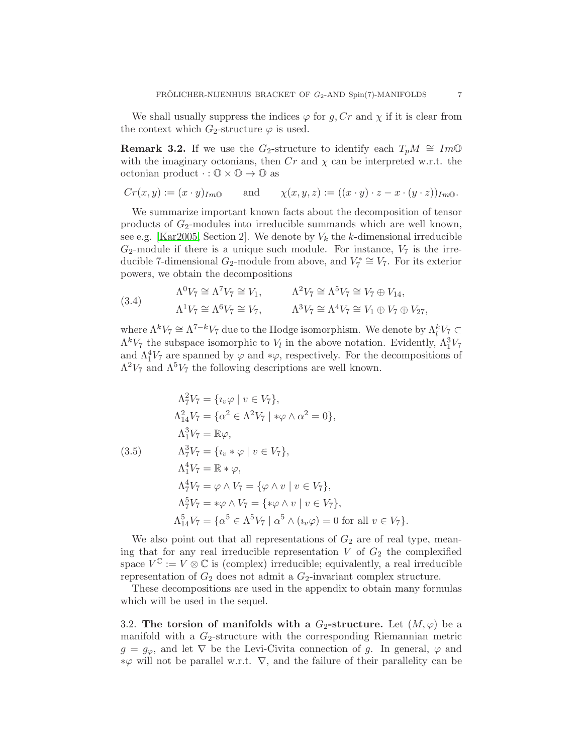We shall usually suppress the indices  $\varphi$  for g, Cr and  $\chi$  if it is clear from the context which  $G_2$ -structure  $\varphi$  is used.

**Remark 3.2.** If we use the G<sub>2</sub>-structure to identify each  $T_pM \cong Im\mathbb{O}$ with the imaginary octonians, then  $Cr$  and  $\chi$  can be interpreted w.r.t. the octonian product  $\cdot: \mathbb{O} \times \mathbb{O} \to \mathbb{O}$  as

$$
Cr(x,y) := (x \cdot y)_{Im0} \quad \text{and} \quad \chi(x,y,z) := ((x \cdot y) \cdot z - x \cdot (y \cdot z))_{Im0}.
$$

We summarize important known facts about the decomposition of tensor products of  $G_2$ -modules into irreducible summands which are well known, see e.g. [\[Kar2005,](#page-24-7) Section 2]. We denote by  $V_k$  the k-dimensional irreducible  $G_2$ -module if there is a unique such module. For instance,  $V_7$  is the irreducible 7-dimensional  $G_2$ -module from above, and  $V_7^* \cong V_7$ . For its exterior powers, we obtain the decompositions

(3.4) 
$$
\Lambda^0 V_7 \cong \Lambda^7 V_7 \cong V_1, \qquad \Lambda^2 V_7 \cong \Lambda^5 V_7 \cong V_7 \oplus V_{14},
$$

$$
\Lambda^1 V_7 \cong \Lambda^6 V_7 \cong V_7, \qquad \Lambda^3 V_7 \cong \Lambda^4 V_7 \cong V_1 \oplus V_7 \oplus V_{27},
$$

where  $\Lambda^k V_7 \cong \Lambda^{7-k} V_7$  due to the Hodge isomorphism. We denote by  $\Lambda_l^k V_7 \subset$  $\Lambda^k V_7$  the subspace isomorphic to  $V_l$  in the above notation. Evidently,  $\Lambda_1^3 V_7$ and  $\Lambda_1^4 V_7$  are spanned by  $\varphi$  and  $*\varphi$ , respectively. For the decompositions of  $\Lambda^2 V_7$  and  $\Lambda^5 V_7$  the following descriptions are well known.

<span id="page-6-0"></span>
$$
\Lambda_7^2 V_7 = \{v_v \varphi \mid v \in V_7\},
$$
  
\n
$$
\Lambda_{14}^2 V_7 = \{\alpha^2 \in \Lambda^2 V_7 \mid * \varphi \wedge \alpha^2 = 0\},
$$
  
\n
$$
\Lambda_1^3 V_7 = \mathbb{R}\varphi,
$$
  
\n(3.5)  
\n
$$
\Lambda_7^3 V_7 = \{v_v * \varphi \mid v \in V_7\},
$$
  
\n
$$
\Lambda_1^4 V_7 = \mathbb{R} * \varphi,
$$
  
\n
$$
\Lambda_7^4 V_7 = \varphi \wedge V_7 = \{\varphi \wedge v \mid v \in V_7\},
$$
  
\n
$$
\Lambda_7^5 V_7 = * \varphi \wedge V_7 = \{* \varphi \wedge v \mid v \in V_7\},
$$
  
\n
$$
\Lambda_{14}^5 V_7 = \{\alpha^5 \in \Lambda^5 V_7 \mid \alpha^5 \wedge (v_v \varphi) = 0 \text{ for all } v \in V_7\}.
$$

We also point out that all representations of  $G_2$  are of real type, meaning that for any real irreducible representation  $V$  of  $G_2$  the complexified space  $V^{\mathbb{C}} := V \otimes \mathbb{C}$  is (complex) irreducible; equivalently, a real irreducible representation of  $G_2$  does not admit a  $G_2$ -invariant complex structure.

These decompositions are used in the appendix to obtain many formulas which will be used in the sequel.

3.2. The torsion of manifolds with a  $G_2$ -structure. Let  $(M, \varphi)$  be a manifold with a  $G_2$ -structure with the corresponding Riemannian metric  $g = g_{\varphi}$ , and let  $\nabla$  be the Levi-Civita connection of g. In general,  $\varphi$  and  $\ast \varphi$  will not be parallel w.r.t.  $\nabla$ , and the failure of their parallelity can be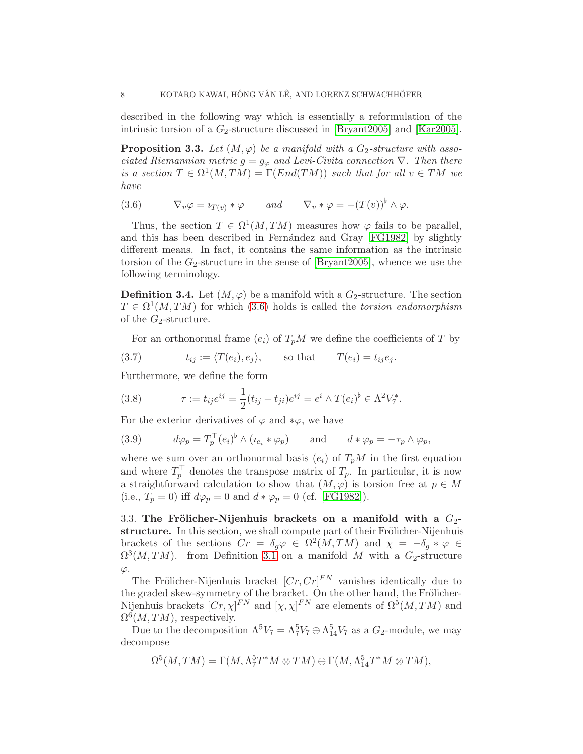described in the following way which is essentially a reformulation of the intrinsic torsion of a  $G_2$ -structure discussed in [\[Bryant2005\]](#page-23-5) and [\[Kar2005\]](#page-24-7).

**Proposition 3.3.** Let  $(M, \varphi)$  be a manifold with a  $G_2$ -structure with associated Riemannian metric  $g = g_{\varphi}$  and Levi-Civita connection  $\nabla$ . Then there is a section  $T \in \Omega^1(M,TM) = \Gamma(End(TM))$  such that for all  $v \in TM$  we have

<span id="page-7-0"></span>(3.6) 
$$
\nabla_v \varphi = i_{T(v)} * \varphi \quad \text{and} \quad \nabla_v * \varphi = -(T(v))^{\flat} \wedge \varphi.
$$

Thus, the section  $T \in \Omega^1(M, TM)$  measures how  $\varphi$  fails to be parallel, and this has been described in Fernández and Gray [\[FG1982\]](#page-23-0) by slightly different means. In fact, it contains the same information as the intrinsic torsion of the  $G_2$ -structure in the sense of [\[Bryant2005\]](#page-23-5), whence we use the following terminology.

<span id="page-7-2"></span>**Definition 3.4.** Let  $(M, \varphi)$  be a manifold with a  $G_2$ -structure. The section  $T \in \Omega^1(M, TM)$  for which [\(3.6\)](#page-7-0) holds is called the *torsion endomorphism* of the  $G_2$ -structure.

For an orthonormal frame  $(e_i)$  of  $T_pM$  we define the coefficients of T by

(3.7) 
$$
t_{ij} := \langle T(e_i), e_j \rangle, \quad \text{so that} \quad T(e_i) = t_{ij} e_j.
$$

Furthermore, we define the form

<span id="page-7-1"></span>(3.8) 
$$
\tau := t_{ij}e^{ij} = \frac{1}{2}(t_{ij} - t_{ji})e^{ij} = e^i \wedge T(e_i)^{\flat} \in \Lambda^2 V_7^*.
$$

For the exterior derivatives of  $\varphi$  and  $*\varphi$ , we have

(3.9) 
$$
d\varphi_p = T_p^{\top}(e_i)^{\flat} \wedge (i_{e_i} * \varphi_p) \quad \text{and} \quad d * \varphi_p = -\tau_p \wedge \varphi_p,
$$

where we sum over an orthonormal basis  $(e_i)$  of  $T_pM$  in the first equation and where  $T_p^{\top}$  denotes the transpose matrix of  $T_p$ . In particular, it is now a straightforward calculation to show that  $(M, \varphi)$  is torsion free at  $p \in M$ (i.e.,  $T_p = 0$ ) iff  $d\varphi_p = 0$  and  $d * \varphi_p = 0$  (cf. [\[FG1982\]](#page-23-0)).

3.3. The Frölicher-Nijenhuis brackets on a manifold with a  $G_2$ structure. In this section, we shall compute part of their Frölicher-Nijenhuis brackets of the sections  $Cr = \delta_g \varphi \in \Omega^2(M, TM)$  and  $\chi = -\delta_g * \varphi \in$  $\Omega^3(M,TM)$ . from Definition [3.1](#page-5-1) on a manifold M with a  $G_2$ -structure  $\varphi$ .

The Frölicher-Nijenhuis bracket  $[Cr, Cr]^{FN}$  vanishes identically due to the graded skew-symmetry of the bracket. On the other hand, the Frölicher-Nijenhuis brackets  $[Cr, \chi]^{FN}$  and  $[\chi, \chi]^{FN}$  are elements of  $\Omega^5(M, TM)$  and  $\Omega^6(M,TM)$ , respectively.

Due to the decomposition  $\Lambda^5 V_7 = \Lambda_7^5 V_7 \oplus \Lambda_{14}^5 V_7$  as a  $G_2$ -module, we may decompose

$$
\Omega^{5}(M, TM) = \Gamma(M, \Lambda_{7}^{5}T^{*}M \otimes TM) \oplus \Gamma(M, \Lambda_{14}^{5}T^{*}M \otimes TM),
$$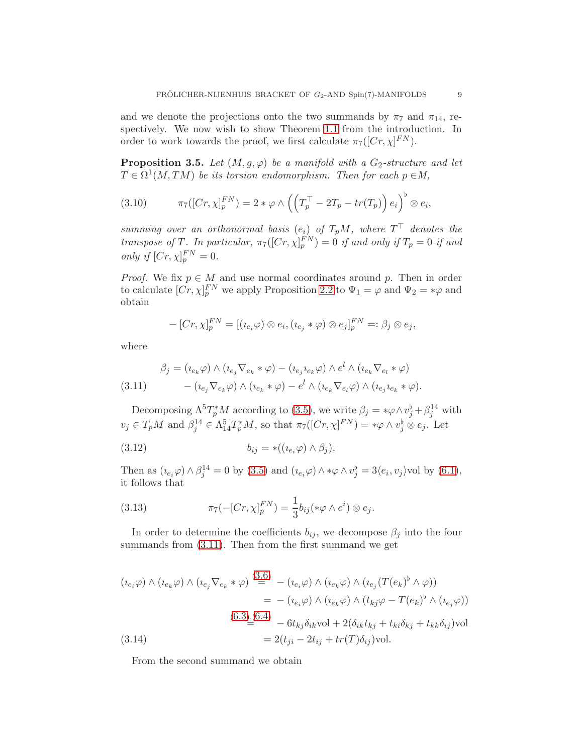and we denote the projections onto the two summands by  $\pi_7$  and  $\pi_{14}$ , respectively. We now wish to show Theorem [1.1](#page-1-0) from the introduction. In order to work towards the proof, we first calculate  $\pi_7([Cr, \chi]^{FN})$ .

<span id="page-8-4"></span>**Proposition 3.5.** Let  $(M, g, \varphi)$  be a manifold with a  $G_2$ -structure and let  $T \in \Omega^1(M,TM)$  be its torsion endomorphism. Then for each  $p \in M$ ,

<span id="page-8-3"></span>(3.10) 
$$
\pi_7([Cr,\chi]_p^{FN}) = 2 * \varphi \wedge \left( \left( T_p^{\top} - 2T_p - tr(T_p) \right) e_i \right)^{\flat} \otimes e_i,
$$

summing over an orthonormal basis  $(e_i)$  of  $T_pM$ , where  $T^{\top}$  denotes the transpose of T. In particular,  $\pi_7([Cr, \chi]_p^{\text{FN}}) = 0$  if and only if  $T_p = 0$  if and only if  $[Cr, \chi]_p^{FN} = 0$ .

*Proof.* We fix  $p \in M$  and use normal coordinates around p. Then in order to calculate  $[Cr, \chi]_p^{FN}$  we apply Proposition [2.2](#page-4-1) to  $\Psi_1 = \varphi$  and  $\Psi_2 = \varphi$  and obtain

$$
-[Cr,\chi]_p^{FN} = [(i_{e_i}\varphi) \otimes e_i, (i_{e_j} * \varphi) \otimes e_j]_p^{FN} =: \beta_j \otimes e_j,
$$

where

<span id="page-8-0"></span>(3.11) 
$$
\beta_j = (i_{e_k}\varphi) \wedge (i_{e_j}\nabla_{e_k} * \varphi) - (i_{e_j}i_{e_k}\varphi) \wedge e^l \wedge (i_{e_k}\nabla_{e_l} * \varphi)
$$

$$
- (i_{e_j}\nabla_{e_k}\varphi) \wedge (i_{e_k} * \varphi) - e^l \wedge (i_{e_k}\nabla_{e_l}\varphi) \wedge (i_{e_j}i_{e_k} * \varphi).
$$

Decomposing  $\Lambda^5 T_p^* M$  according to [\(3.5\)](#page-6-0), we write  $\beta_j = \sqrt{\Lambda} v_j^{\flat} + \beta_j^{14}$  with  $v_j \in T_pM$  and  $\beta_j^{14} \in \Lambda_{14}^5 T_p^*M$ , so that  $\pi_7([Cr, \chi]^{FN}) = * \varphi \wedge v_j^{\flat} \otimes e_j$ . Let

(3.12) 
$$
b_{ij} = *((i_{e_i}\varphi) \wedge \beta_j).
$$

Then as  $(i_{e_i}\varphi) \wedge \beta_j^{14} = 0$  by  $(3.5)$  and  $(i_{e_i}\varphi) \wedge * \varphi \wedge v_j^{\flat} = 3\langle e_i, v_j \rangle$  vol by  $(6.1)$ , it follows that

<span id="page-8-2"></span>(3.13) 
$$
\pi_7(-[Cr,\chi]_p^{FN}) = \frac{1}{3}b_{ij}(*\varphi \wedge e^i) \otimes e_j.
$$

In order to determine the coefficients  $b_{ij}$ , we decompose  $\beta_j$  into the four summands from [\(3.11\)](#page-8-0). Then from the first summand we get

$$
(i_{e_i}\varphi) \wedge (i_{e_k}\varphi) \wedge (i_{e_j}\nabla_{e_k} * \varphi) \stackrel{(3.6)}{=} -(i_{e_i}\varphi) \wedge (i_{e_k}\varphi) \wedge (i_{e_j}(T(e_k)^{\flat} \wedge \varphi))
$$
  

$$
= -(i_{e_i}\varphi) \wedge (i_{e_k}\varphi) \wedge (t_{kj}\varphi - T(e_k)^{\flat} \wedge (i_{e_j}\varphi))
$$
  

$$
\stackrel{(6.3),(6.4)}{=} -6t_{kj}\delta_{ik}\text{vol} + 2(\delta_{ik}t_{kj} + t_{ki}\delta_{kj} + t_{kk}\delta_{ij})\text{vol}
$$
  

$$
(3.14)
$$

<span id="page-8-1"></span>From the second summand we obtain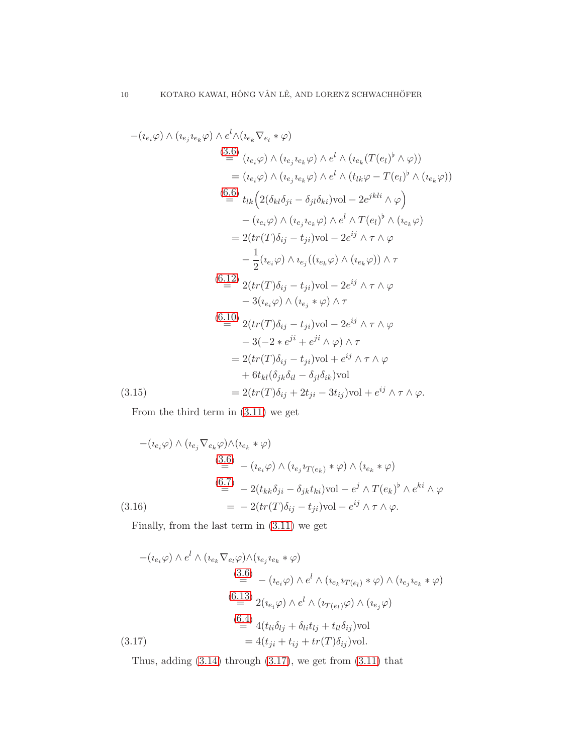$$
-(i_{e_i}\varphi) \wedge (i_{e_j}i_{e_k}\varphi) \wedge e^l \wedge (i_{e_k}\nabla_{e_l} * \varphi)
$$
  
\n
$$
(3.6)
$$
  
\n
$$
= (i_{e_i}\varphi) \wedge (i_{e_j}i_{e_k}\varphi) \wedge e^l \wedge (i_{e_k}(T(e_l)^{\flat} \wedge \varphi))
$$
  
\n
$$
= (i_{e_i}\varphi) \wedge (i_{e_j}i_{e_k}\varphi) \wedge e^l \wedge (i_{t_k}\varphi - T(e_l)^{\flat} \wedge (i_{e_k}\varphi))
$$
  
\n
$$
(6.6)
$$
  
\n
$$
(6.6)
$$
  
\n
$$
= i_{tk}\left(2(\delta_{kl}\delta_{ji} - \delta_{jl}\delta_{ki})\text{vol} - 2e^{jkli} \wedge \varphi\right)
$$
  
\n
$$
- (i_{e_i}\varphi) \wedge (i_{e_j}i_{e_k}\varphi) \wedge e^l \wedge T(e_l)^{\flat} \wedge (i_{e_k}\varphi)
$$
  
\n
$$
= 2(tr(T)\delta_{ij} - t_{ji})\text{vol} - 2e^{ij} \wedge \tau \wedge \varphi
$$
  
\n
$$
- \frac{1}{2}(i_{e_i}\varphi) \wedge i_{e_j}((i_{e_k}\varphi) \wedge (i_{e_k}\varphi)) \wedge \tau
$$
  
\n
$$
(6.12)
$$
  
\n
$$
2(tr(T)\delta_{ij} - t_{ji})\text{vol} - 2e^{ij} \wedge \tau \wedge \varphi
$$
  
\n
$$
- 3(i_{e_i}\varphi) \wedge (i_{e_j} * \varphi) \wedge \tau
$$
  
\n
$$
(6.10)
$$
  
\n
$$
2(tr(T)\delta_{ij} - t_{ji})\text{vol} - 2e^{ij} \wedge \tau \wedge \varphi
$$
  
\n
$$
- 3(-2 * e^{ji} + e^{ji} \wedge \varphi) \wedge \tau
$$
  
\n
$$
+ 6t_{kl}(\delta_{jk}\delta_{il} - \delta_{jl}\delta_{ik})\text{vol}
$$
  
\n
$$
(3.15)
$$

From the third term in [\(3.11\)](#page-8-0) we get

$$
-(i_{e_i}\varphi) \wedge (i_{e_j} \nabla_{e_k} \varphi) \wedge (i_{e_k} * \varphi)
$$
  
\n
$$
\stackrel{(3.6)}{=} -(i_{e_i}\varphi) \wedge (i_{e_j} i_{T(e_k)} * \varphi) \wedge (i_{e_k} * \varphi)
$$
  
\n
$$
\stackrel{(6.7)}{=} -2(t_{kk}\delta_{ji} - \delta_{jk}t_{ki})\text{vol} - e^j \wedge T(e_k)^b \wedge e^{ki} \wedge \varphi
$$
  
\n
$$
(3.16)
$$
  
\n
$$
= -2(tr(T)\delta_{ij} - t_{ji})\text{vol} - e^{ij} \wedge \tau \wedge \varphi.
$$

Finally, from the last term in [\(3.11\)](#page-8-0) we get

$$
-(i_{e_i}\varphi) \wedge e^l \wedge (i_{e_k}\nabla_{e_l}\varphi) \wedge (i_{e_j}i_{e_k} * \varphi)
$$
  
\n
$$
\stackrel{(3.6)}{=} -(i_{e_i}\varphi) \wedge e^l \wedge (i_{e_k}i_{T(e_l)} * \varphi) \wedge (i_{e_j}i_{e_k} * \varphi)
$$
  
\n
$$
\stackrel{(6.13)}{=} 2(i_{e_i}\varphi) \wedge e^l \wedge (i_{T(e_l)}\varphi) \wedge (i_{e_j}\varphi)
$$
  
\n
$$
\stackrel{(6.4)}{=} 4(i_{i}\delta_{lj} + \delta_{li}i_{lj} + t_{ll}\delta_{ij})\text{vol}
$$
  
\n(3.17) 
$$
= 4(i_{ji} + t_{ij} + tr(T)\delta_{ij})\text{vol}.
$$

<span id="page-9-0"></span>Thus, adding  $(3.14)$  through  $(3.17)$ , we get from  $(3.11)$  that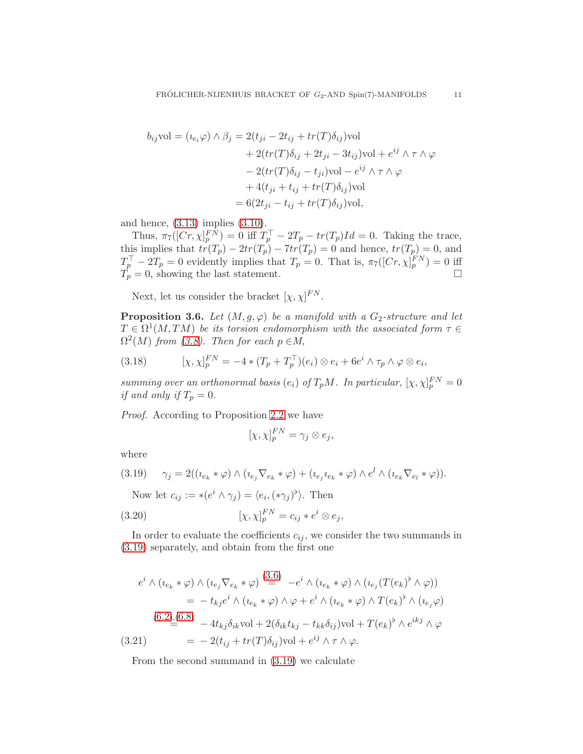$$
b_{ij}\text{vol} = (i_{e_i}\varphi) \wedge \beta_j = 2(t_{ji} - 2t_{ij} + tr(T)\delta_{ij})\text{vol}
$$
  
+ 2(tr(T)\delta\_{ij} + 2t\_{ji} - 3t\_{ij})\text{vol} + e^{ij} \wedge \tau \wedge \varphi  
- 2(tr(T)\delta\_{ij} - t\_{ji})\text{vol} - e^{ij} \wedge \tau \wedge \varphi  
+ 4(t\_{ji} + t\_{ij} + tr(T)\delta\_{ij})\text{vol}  
= 6(2t\_{ji} - t\_{ij} + tr(T)\delta\_{ij})\text{vol},

and hence, [\(3.13\)](#page-8-2) implies [\(3.10\)](#page-8-3).

Thus,  $\pi_7([Cr, \chi]_p^{FN}) = 0$  iff  $T_p^{\top} - 2T_p - tr(T_p)Id = 0$ . Taking the trace, this implies that  $tr(T_p) - 2tr(T_p) - 7tr(T_p) = 0$  and hence,  $tr(T_p) = 0$ , and  $T_p^{\top} - 2T_p = 0$  evidently implies that  $T_p = 0$ . That is,  $\pi_7([Cr, \chi]_p^{\text{FN}}) = 0$  iff  $T_p = 0$ , showing the last statement.

Next, let us consider the bracket  $[\chi, \chi]^{FN}$ .

<span id="page-10-4"></span>**Proposition 3.6.** Let  $(M, g, \varphi)$  be a manifold with a  $G_2$ -structure and let  $T \in \Omega^1(M,TM)$  be its torsion endomorphism with the associated form  $\tau \in$  $\Omega^2(M)$  from [\(3.8\)](#page-7-1). Then for each  $p \in M$ ,

<span id="page-10-3"></span>(3.18) 
$$
[\chi, \chi]_p^{FN} = -4 * (T_p + T_p^{\top})(e_i) \otimes e_i + 6e^i \wedge \tau_p \wedge \varphi \otimes e_i,
$$

summing over an orthonormal basis  $(e_i)$  of  $T_pM$ . In particular,  $[\chi, \chi]_p^{FN} = 0$ if and only if  $T_p = 0$ .

Proof. According to Proposition [2.2](#page-4-1) we have

<span id="page-10-2"></span>
$$
[\chi, \chi]_p^{FN} = \gamma_j \otimes e_j,
$$

where

$$
(3.19) \quad \gamma_j = 2((\iota_{e_k} * \varphi) \wedge (\iota_{e_j} \nabla_{e_k} * \varphi) + (\iota_{e_j} \iota_{e_k} * \varphi) \wedge e^l \wedge (\iota_{e_k} \nabla_{e_l} * \varphi)).
$$

<span id="page-10-0"></span>Now let  $c_{ij} := * (e^i \wedge \gamma_j) = \langle e_i, (*\gamma_j)^\flat \rangle$ . Then

(3.20) 
$$
[\chi, \chi]_p^{FN} = c_{ij} * e^i \otimes e_j,
$$

In order to evaluate the coefficients  $c_{ij}$ , we consider the two summands in [\(3.19\)](#page-10-0) separately, and obtain from the first one

$$
e^{i} \wedge (i_{e_k} * \varphi) \wedge (i_{e_j} \nabla_{e_k} * \varphi) \stackrel{(3.6)}{=} -e^{i} \wedge (i_{e_k} * \varphi) \wedge (i_{e_j} (T(e_k)^b \wedge \varphi))
$$
  
\n
$$
= -t_{kj} e^{i} \wedge (i_{e_k} * \varphi) \wedge \varphi + e^{i} \wedge (i_{e_k} * \varphi) \wedge T(e_k)^b \wedge (i_{e_j} \varphi)
$$
  
\n(6.2),(6.8)  
\n
$$
-4t_{kj} \delta_{ik} \text{vol} + 2(\delta_{ik} t_{kj} - t_{kk} \delta_{ij}) \text{vol} + T(e_k)^b \wedge e^{ikj} \wedge \varphi
$$
  
\n(3.21)  
\n
$$
= -2(t_{ij} + tr(T) \delta_{ij}) \text{vol} + e^{ij} \wedge \tau \wedge \varphi.
$$

<span id="page-10-1"></span>From the second summand in [\(3.19\)](#page-10-0) we calculate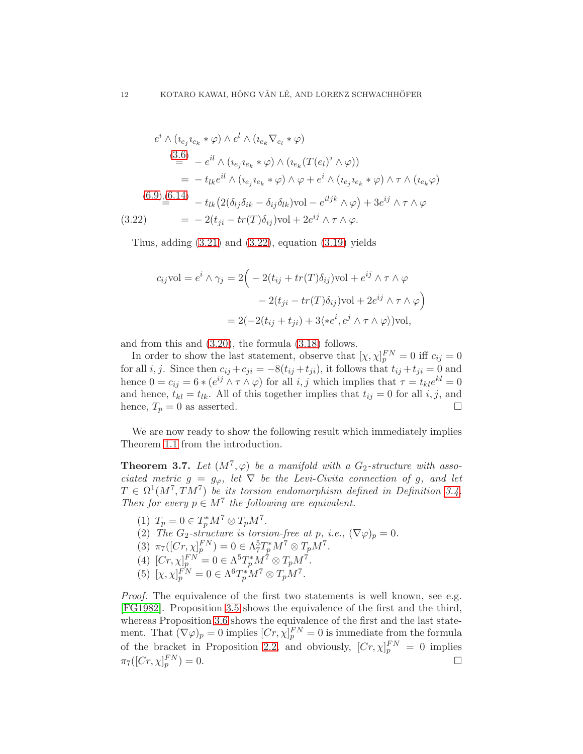$$
e^{i} \wedge (i_{e_j} i_{e_k} * \varphi) \wedge e^l \wedge (i_{e_k} \nabla_{e_l} * \varphi)
$$
  
\n
$$
\stackrel{(3.6)}{=} -e^{il} \wedge (i_{e_j} i_{e_k} * \varphi) \wedge (i_{e_k} (T(e_l)^{\flat} \wedge \varphi))
$$
  
\n
$$
= -t_{lk} e^{il} \wedge (i_{e_j} i_{e_k} * \varphi) \wedge \varphi + e^i \wedge (i_{e_j} i_{e_k} * \varphi) \wedge \tau \wedge (i_{e_k} \varphi)
$$
  
\n
$$
\stackrel{(6.9)}{=} \stackrel{(6.14)}{=} -t_{lk} \big( 2(\delta_{lj} \delta_{ik} - \delta_{ij} \delta_{lk}) \text{vol} - e^{iljk} \wedge \varphi \big) + 3e^{ij} \wedge \tau \wedge \varphi
$$
  
\n
$$
(3.22) = -2(t_{ji} - tr(T) \delta_{ij}) \text{vol} + 2e^{ij} \wedge \tau \wedge \varphi.
$$

<span id="page-11-1"></span>Thus, adding  $(3.21)$  and  $(3.22)$ , equation  $(3.19)$  yields

$$
c_{ij} \text{vol} = e^i \wedge \gamma_j = 2\Big( -2(t_{ij} + tr(T)\delta_{ij}) \text{vol} + e^{ij} \wedge \tau \wedge \varphi
$$

$$
-2(t_{ji} - tr(T)\delta_{ij}) \text{vol} + 2e^{ij} \wedge \tau \wedge \varphi \Big)
$$

$$
= 2(-2(t_{ij} + t_{ji}) + 3\langle *e^i, e^j \wedge \tau \wedge \varphi \rangle) \text{vol},
$$

and from this and [\(3.20\)](#page-10-2), the formula [\(3.18\)](#page-10-3) follows.

In order to show the last statement, observe that  $[\chi, \chi]_p^{FN} = 0$  iff  $c_{ij} = 0$ for all i, j. Since then  $c_{ij} + c_{ji} = -8(t_{ij} + t_{ji})$ , it follows that  $t_{ij} + t_{ji} = 0$  and hence  $0 = c_{ij} = 6 * (e^{ij} \wedge \tau \wedge \varphi)$  for all  $i, j$  which implies that  $\tau = t_{kl}e^{kl} = 0$ and hence,  $t_{kl} = t_{lk}$ . All of this together implies that  $t_{ij} = 0$  for all  $i, j$ , and hence,  $T_p = 0$  as asserted.

We are now ready to show the following result which immediately implies Theorem [1.1](#page-1-0) from the introduction.

<span id="page-11-0"></span>**Theorem 3.7.** Let  $(M^7, \varphi)$  be a manifold with a  $G_2$ -structure with associated metric  $g = g_{\varphi}$ , let  $\nabla$  be the Levi-Civita connection of g, and let  $T \in \Omega^1(M^7, TM^7)$  be its torsion endomorphism defined in Definition [3.4.](#page-7-2) Then for every  $p \in M^7$  the following are equivalent.

(1)  $T_p = 0 \in T_p^* M^7 \otimes T_p M^7$ . (2) The  $G_2$ -structure is torsion-free at p, i.e.,  $(\nabla \varphi)_p = 0$ . (3)  $\pi_7([Cr, \chi]_p^{FN}) = 0 \in \Lambda_7^5 T_p^* M^7 \otimes T_p M^7.$ (4)  $[Cr, \chi]_p^{FN} = 0 \in \Lambda^5 T_p^* M^7 \otimes T_p M^7$ . (5)  $[\chi, \chi]_p^{FN} = 0 \in \Lambda^6 T_p^* M^7 \otimes T_p M^7$ .

Proof. The equivalence of the first two statements is well known, see e.g. [\[FG1982\]](#page-23-0). Proposition [3.5](#page-8-4) shows the equivalence of the first and the third, whereas Proposition [3.6](#page-10-4) shows the equivalence of the first and the last statement. That  $(\nabla \varphi)_p = 0$  implies  $[Cr, \chi]_p^{FN} = 0$  is immediate from the formula of the bracket in Proposition [2.2,](#page-4-1) and obviously,  $[Cr, \chi]_p^{FN} = 0$  implies  $\pi_7([Cr,\chi]_p^{FN}$  $) = 0.$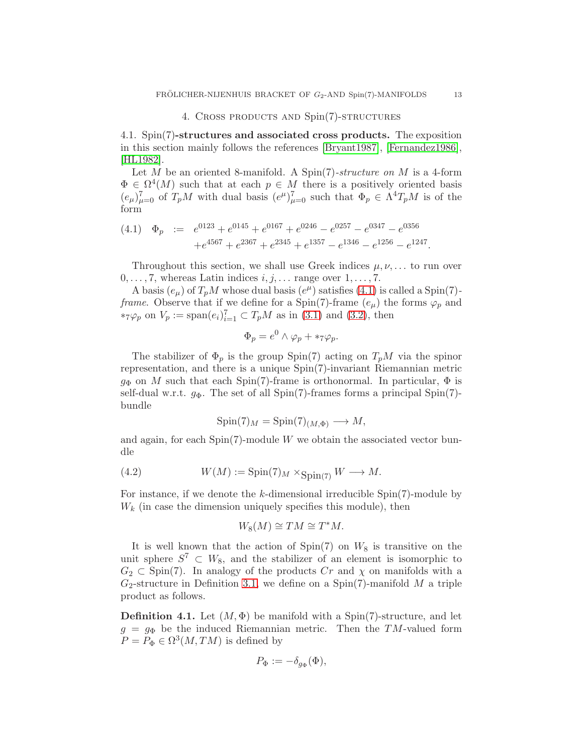### 4. Cross products and Spin(7)-structures

<span id="page-12-0"></span>4.1. Spin(7)-structures and associated cross products. The exposition in this section mainly follows the references [\[Bryant1987\]](#page-23-4), [\[Fernandez1986\]](#page-23-1), [\[HL1982\]](#page-24-0).

Let M be an oriented 8-manifold. A  $Spin(7)$ -structure on M is a 4-form  $\Phi \in \Omega^4(M)$  such that at each  $p \in M$  there is a positively oriented basis  $(e_{\mu})_{\mu=0}^7$  of  $T_pM$  with dual basis  $(e^{\mu})_{\mu=0}^7$  such that  $\Phi_p \in \Lambda^4 T_pM$  is of the form

<span id="page-12-1"></span>
$$
(4.1) \quad \Phi_p \ := \ e^{0123} + e^{0145} + e^{0167} + e^{0246} - e^{0257} - e^{0347} - e^{0356}
$$
\n
$$
+ e^{4567} + e^{2367} + e^{2345} + e^{1357} - e^{1346} - e^{1256} - e^{1247}.
$$

Throughout this section, we shall use Greek indices  $\mu, \nu, \ldots$  to run over  $0, \ldots, 7$ , whereas Latin indices  $i, j, \ldots$  range over  $1, \ldots, 7$ .

A basis  $(e_{\mu})$  of  $T_pM$  whose dual basis  $(e^{\mu})$  satisfies  $(4.1)$  is called a Spin(7)*frame.* Observe that if we define for a Spin(7)-frame  $(e_{\mu})$  the forms  $\varphi_p$  and  $*_{7}\varphi_{p}$  on  $V_{p} := \text{span}(e_{i})_{i=1}^{7}$  ⊂  $T_{p}M$  as in [\(3.1\)](#page-5-2) and [\(3.2\)](#page-5-3), then

$$
\Phi_p = e^0 \wedge \varphi_p + *_7 \varphi_p.
$$

The stabilizer of  $\Phi_p$  is the group Spin(7) acting on  $T_pM$  via the spinor representation, and there is a unique Spin(7)-invariant Riemannian metric  $g_{\Phi}$  on M such that each Spin(7)-frame is orthonormal. In particular,  $\Phi$  is self-dual w.r.t.  $g_{\Phi}$ . The set of all Spin(7)-frames forms a principal Spin(7)bundle

$$
\text{Spin}(7)_M = \text{Spin}(7)_{(M,\Phi)} \longrightarrow M,
$$

and again, for each  $Spin(7)$ -module W we obtain the associated vector bundle

(4.2) 
$$
W(M) := \text{Spin}(7)_M \times \text{Spin}(7) \, W \longrightarrow M.
$$

For instance, if we denote the  $k$ -dimensional irreducible  $Spin(7)$ -module by  $W_k$  (in case the dimension uniquely specifies this module), then

$$
W_8(M) \cong TM \cong T^*M.
$$

It is well known that the action of  $Spin(7)$  on  $W_8$  is transitive on the unit sphere  $S^7 \subset W_8$ , and the stabilizer of an element is isomorphic to  $G_2 \subset$  Spin(7). In analogy of the products  $Cr$  and  $\chi$  on manifolds with a  $G_2$ -structure in Definition [3.1,](#page-5-1) we define on a Spin(7)-manifold M a triple product as follows.

<span id="page-12-2"></span>**Definition 4.1.** Let  $(M, \Phi)$  be manifold with a Spin(7)-structure, and let  $g = g_{\Phi}$  be the induced Riemannian metric. Then the TM-valued form  $P = P_{\Phi} \in \Omega^3(M,TM)$  is defined by

$$
P_{\Phi} := -\delta_{g_{\Phi}}(\Phi),
$$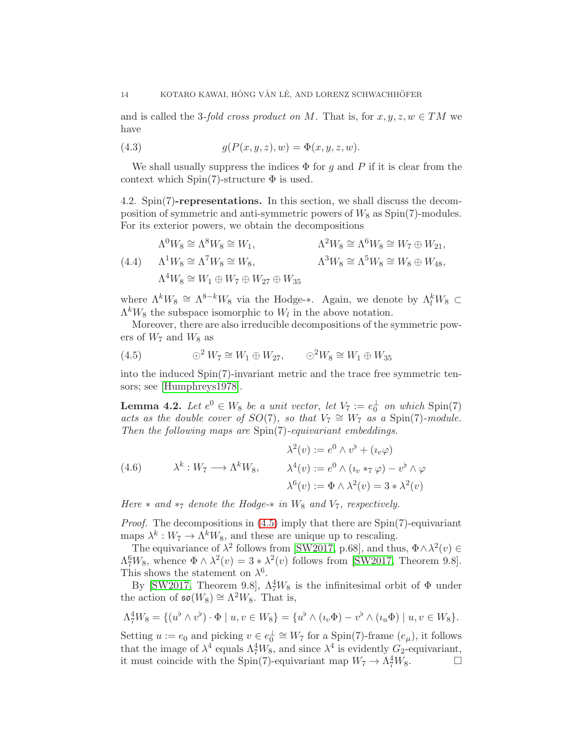and is called the 3-fold cross product on M. That is, for  $x, y, z, w \in TM$  we have

(4.3) 
$$
g(P(x, y, z), w) = \Phi(x, y, z, w).
$$

We shall usually suppress the indices  $\Phi$  for g and P if it is clear from the context which  $Spin(7)$ -structure  $\Phi$  is used.

4.2. Spin(7)-representations. In this section, we shall discuss the decomposition of symmetric and anti-symmetric powers of  $W_8$  as  $Spin(7)$ -modules. For its exterior powers, we obtain the decompositions

<span id="page-13-2"></span>
$$
\Lambda^0 W_8 \cong \Lambda^8 W_8 \cong W_1, \qquad \qquad \Lambda^2 W_8 \cong \Lambda^6 W_8 \cong W_7 \oplus W_{21},
$$
  
(4.4) 
$$
\Lambda^1 W_8 \cong \Lambda^7 W_8 \cong W_8, \qquad \qquad \Lambda^3 W_8 \cong \Lambda^5 W_8 \cong W_8 \oplus W_{48},
$$
  

$$
\Lambda^4 W_8 \cong W_1 \oplus W_7 \oplus W_{27} \oplus W_{35}
$$

where  $\Lambda^k W_8 \cong \Lambda^{8-k} W_8$  via the Hodge-\*. Again, we denote by  $\Lambda_l^k W_8 \subset$  $\Lambda^k W_8$  the subspace isomorphic to  $W_l$  in the above notation.

Moreover, there are also irreducible decompositions of the symmetric powers of  $W_7$  and  $W_8$  as

<span id="page-13-0"></span>(4.5) 
$$
\bigcirc^2 W_7 \cong W_1 \oplus W_{27}, \qquad \bigcirc^2 W_8 \cong W_1 \oplus W_{35}
$$

into the induced Spin(7)-invariant metric and the trace free symmetric tensors; see [\[Humphreys1978\]](#page-24-6).

**Lemma 4.2.** Let  $e^0 \in W_8$  be a unit vector, let  $V_7 := e_0^{\perp}$  on which  $Spin(7)$ acts as the double cover of  $SO(7)$ , so that  $V_7 \cong W_7$  as a Spin(7)-module. Then the following maps are Spin(7)-equivariant embeddings.

<span id="page-13-1"></span>(4.6) 
$$
\lambda^{k}: W_{7} \longrightarrow \Lambda^{k}W_{8}, \qquad \lambda^{4}(v) := e^{0} \wedge (v_{v} *_{7} \varphi) - v^{b} \wedge \varphi
$$

$$
\lambda^{6}(v) := \Phi \wedge \lambda^{2}(v) = 3 * \lambda^{2}(v)
$$

Here  $*$  and  $*$ <sub>7</sub> denote the Hodge- $*$  in  $W_8$  and  $V_7$ , respectively.

Proof. The decompositions in [\(4.5\)](#page-13-0) imply that there are Spin(7)-equivariant maps  $\lambda^k: W_7 \to \Lambda^k W_8$ , and these are unique up to rescaling.

The equivariance of  $\lambda^2$  follows from [\[SW2017,](#page-24-8) p.68], and thus,  $\Phi \wedge \lambda^2(v) \in$  $\Lambda_7^6W_8$ , whence  $\Phi \wedge \lambda^2(v) = 3 * \lambda^2(v)$  follows from [\[SW2017,](#page-24-8) Theorem 9.8]. This shows the statement on  $\lambda^6$ .

By [\[SW2017,](#page-24-8) Theorem 9.8],  $\Lambda_7^4W_8$  is the infinitesimal orbit of  $\Phi$  under the action of  $\mathfrak{so}(W_8) \cong \Lambda^2 W_8$ . That is,

$$
\Lambda_7^4 W_8 = \{ (u^\flat \wedge v^\flat) \cdot \Phi \mid u, v \in W_8 \} = \{ u^\flat \wedge (v_v \Phi) - v^\flat \wedge (v_u \Phi) \mid u, v \in W_8 \}.
$$

Setting  $u := e_0$  and picking  $v \in e_0^{\perp} \cong W_7$  for a  $Spin(7)$ -frame  $(e_{\mu})$ , it follows that the image of  $\lambda^4$  equals  $\Lambda_7^4W_8$ , and since  $\lambda^4$  is evidently  $G_2$ -equivariant, it must coincide with the Spin(7)-equivariant map  $W_7 \to \Lambda_7^4 W_8$ .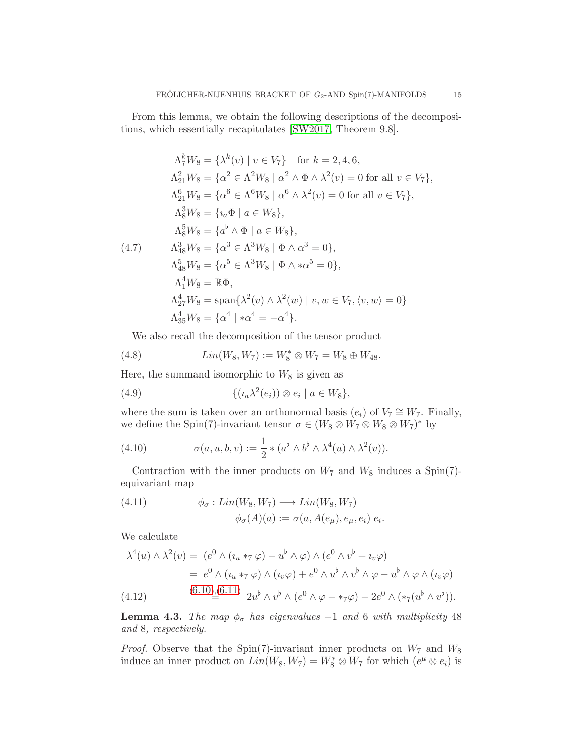From this lemma, we obtain the following descriptions of the decompositions, which essentially recapitulates [\[SW2017,](#page-24-8) Theorem 9.8].

<span id="page-14-4"></span>
$$
\Lambda_7^k W_8 = \{\lambda^k(v) \mid v \in V_7\} \text{ for } k = 2, 4, 6,
$$
  
\n
$$
\Lambda_{21}^2 W_8 = \{\alpha^2 \in \Lambda^2 W_8 \mid \alpha^2 \wedge \Phi \wedge \lambda^2(v) = 0 \text{ for all } v \in V_7\},
$$
  
\n
$$
\Lambda_{21}^6 W_8 = \{\alpha^6 \in \Lambda^6 W_8 \mid \alpha^6 \wedge \lambda^2(v) = 0 \text{ for all } v \in V_7\},
$$
  
\n
$$
\Lambda_8^3 W_8 = \{a \Phi \mid a \in W_8\},
$$
  
\n
$$
\Lambda_8^5 W_8 = \{a^{\flat} \wedge \Phi \mid a \in W_8\},
$$
  
\n(4.7) 
$$
\Lambda_{48}^3 W_8 = \{\alpha^3 \in \Lambda^3 W_8 \mid \Phi \wedge \alpha^3 = 0\},
$$
  
\n
$$
\Lambda_{48}^5 W_8 = \{\alpha^5 \in \Lambda^3 W_8 \mid \Phi \wedge * \alpha^5 = 0\},
$$
  
\n
$$
\Lambda_1^4 W_8 = \mathbb{R} \Phi,
$$
  
\n
$$
\Lambda_{27}^4 W_8 = \text{span}\{\lambda^2(v) \wedge \lambda^2(w) \mid v, w \in V_7, \langle v, w \rangle = 0\}
$$
  
\n
$$
\Lambda_{35}^4 W_8 = \{\alpha^4 \mid * \alpha^4 = -\alpha^4\}.
$$

<span id="page-14-2"></span>We also recall the decomposition of the tensor product

(4.8) 
$$
Lin(W_8, W_7) := W_8^* \otimes W_7 = W_8 \oplus W_{48}.
$$

Here, the summand isomorphic to  $W_8$  is given as

<span id="page-14-3"></span>(4.9) 
$$
\{(i_a\lambda^2(e_i))\otimes e_i \mid a \in W_8\},\
$$

where the sum is taken over an orthonormal basis  $(e_i)$  of  $V_7 \cong W_7$ . Finally, we define the Spin(7)-invariant tensor  $\sigma \in (W_8 \otimes W_7 \otimes W_8 \otimes W_7)^*$  by

<span id="page-14-0"></span>(4.10) 
$$
\sigma(a, u, b, v) := \frac{1}{2} * (a^{\flat} \wedge b^{\flat} \wedge \lambda^4(u) \wedge \lambda^2(v)).
$$

Contraction with the inner products on  $W_7$  and  $W_8$  induces a Spin(7)equivariant map

<span id="page-14-5"></span>(4.11) 
$$
\phi_{\sigma}: Lin(W_8, W_7) \longrightarrow Lin(W_8, W_7) \n\phi_{\sigma}(A)(a) := \sigma(a, A(e_{\mu}), e_{\mu}, e_i) e_i.
$$

We calculate

$$
\lambda^{4}(u) \wedge \lambda^{2}(v) = (e^{0} \wedge (i_{u} *_{7} \varphi) - u^{b} \wedge \varphi) \wedge (e^{0} \wedge v^{b} + i_{v} \varphi)
$$
  
=  $e^{0} \wedge (i_{u} *_{7} \varphi) \wedge (i_{v} \varphi) + e^{0} \wedge u^{b} \wedge v^{b} \wedge \varphi - u^{b} \wedge \varphi \wedge (i_{v} \varphi)$   
(4.12) 
$$
(6.10)_{\underline{0}}(6.11) \quad 2u^{b} \wedge v^{b} \wedge (e^{0} \wedge \varphi - *_{7} \varphi) - 2e^{0} \wedge (*_{7}(u^{b} \wedge v^{b})).
$$

<span id="page-14-6"></span><span id="page-14-1"></span>**Lemma 4.3.** The map  $\phi_{\sigma}$  has eigenvalues  $-1$  and 6 with multiplicity 48 and 8, respectively.

*Proof.* Observe that the Spin(7)-invariant inner products on  $W_7$  and  $W_8$ induce an inner product on  $Lin(W_8, W_7) = W_8^* \otimes W_7$  for which  $(e^{\mu} \otimes e_i)$  is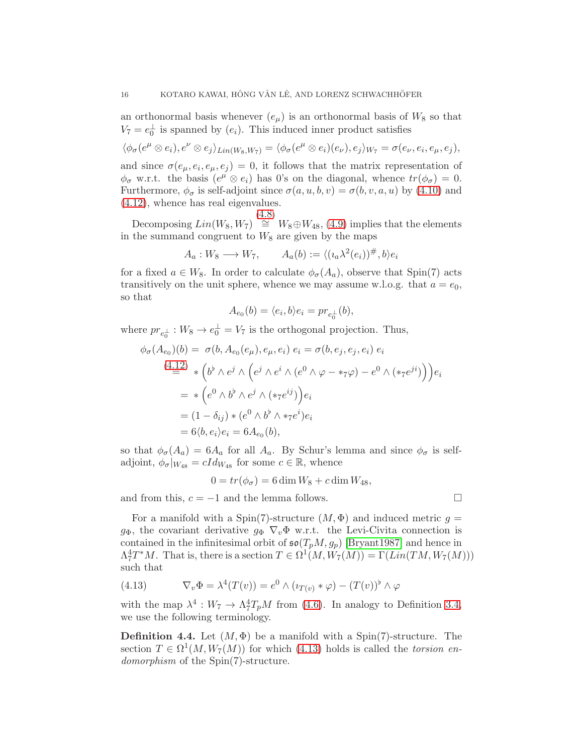an orthonormal basis whenever  $(e_{\mu})$  is an orthonormal basis of  $W_8$  so that  $V_7 = e_0^{\perp}$  is spanned by  $(e_i)$ . This induced inner product satisfies

$$
\langle \phi_{\sigma}(e^{\mu} \otimes e_i), e^{\nu} \otimes e_j \rangle_{Lin(W_8, W_7)} = \langle \phi_{\sigma}(e^{\mu} \otimes e_i)(e_{\nu}), e_j \rangle_{W_7} = \sigma(e_{\nu}, e_i, e_{\mu}, e_j),
$$

and since  $\sigma(e_{\mu}, e_i, e_{\mu}, e_j) = 0$ , it follows that the matrix representation of  $\phi_{\sigma}$  w.r.t. the basis  $(e^{\mu} \otimes e_i)$  has 0's on the diagonal, whence  $tr(\phi_{\sigma}) = 0$ . Furthermore,  $\phi_{\sigma}$  is self-adjoint since  $\sigma(a, u, b, v) = \sigma(b, v, a, u)$  by [\(4.10\)](#page-14-0) and [\(4.12\)](#page-14-1), whence has real eigenvalues.

Decomposing  $Lin(W_8, W_7)$  $(4.8)$  $(4.8)$  $(4.8)$ <sup>2</sup>  $W_8 \oplus W_{48}$ , [\(4.9\)](#page-14-3) implies that the elements in the summand congruent to  $W_8$  are given by the maps

$$
A_a: W_8 \longrightarrow W_7, \qquad A_a(b) := \langle (i_a \lambda^2(e_i))^{\#}, b \rangle e_i
$$

for a fixed  $a \in W_8$ . In order to calculate  $\phi_{\sigma}(A_a)$ , observe that Spin(7) acts transitively on the unit sphere, whence we may assume w.l.o.g. that  $a = e_0$ , so that

$$
A_{e_0}(b) = \langle e_i, b \rangle e_i = pr_{e_0^{\perp}}(b),
$$

where  $pr_{e_0^{\perp}}: W_8 \to e_0^{\perp} = V_7$  is the orthogonal projection. Thus,

$$
\phi_{\sigma}(A_{e_0})(b) = \sigma(b, A_{e_0}(e_{\mu}), e_{\mu}, e_i) e_i = \sigma(b, e_j, e_j, e_i) e_i
$$
  
\n
$$
\stackrel{(4.12)}{=} * \left(b^{\flat} \wedge e^j \wedge \left(e^j \wedge e^i \wedge (e^0 \wedge \varphi - *_{7}\varphi) - e^0 \wedge (*_{7}e^{ji})\right)\right) e_i
$$
  
\n
$$
= * \left(e^0 \wedge b^{\flat} \wedge e^j \wedge (*_{7}e^{ij})\right) e_i
$$
  
\n
$$
= (1 - \delta_{ij}) * (e^0 \wedge b^{\flat} \wedge *_{7}e^i) e_i
$$
  
\n
$$
= 6\langle b, e_i \rangle e_i = 6A_{e_0}(b),
$$

so that  $\phi_{\sigma}(A_a) = 6A_a$  for all  $A_a$ . By Schur's lemma and since  $\phi_{\sigma}$  is selfadjoint,  $\phi_{\sigma}|_{W_{48}} = cId_{W_{48}}$  for some  $c \in \mathbb{R}$ , whence

$$
0 = tr(\phi_{\sigma}) = 6 \dim W_8 + c \dim W_{48},
$$

and from this,  $c = -1$  and the lemma follows.  $\Box$ 

For a manifold with a Spin(7)-structure  $(M, \Phi)$  and induced metric  $g =$  $g_{\Phi}$ , the covariant derivative  $g_{\Phi} \nabla_{v} \Phi$  w.r.t. the Levi-Civita connection is contained in the infinitesimal orbit of  $\mathfrak{so}(T_pM, g_p)$  [\[Bryant1987\]](#page-23-4) and hence in  $\Lambda_7^4T^*M$ . That is, there is a section  $T \in \Omega^1(M, W_7(M)) = \Gamma(\text{Lin}(TM, W_7(M)))$ such that

<span id="page-15-0"></span>(4.13) 
$$
\nabla_v \Phi = \lambda^4(T(v)) = e^0 \wedge (i_{T(v)} * \varphi) - (T(v))^b \wedge \varphi
$$

with the map  $\lambda^4: W_7 \to \Lambda_7^4 T_p M$  from [\(4.6\)](#page-13-1). In analogy to Definition [3.4,](#page-7-2) we use the following terminology.

<span id="page-15-1"></span>**Definition 4.4.** Let  $(M, \Phi)$  be a manifold with a Spin(7)-structure. The section  $T \in \Omega^1(M, W_7(M))$  for which [\(4.13\)](#page-15-0) holds is called the torsion endomorphism of the Spin(7)-structure.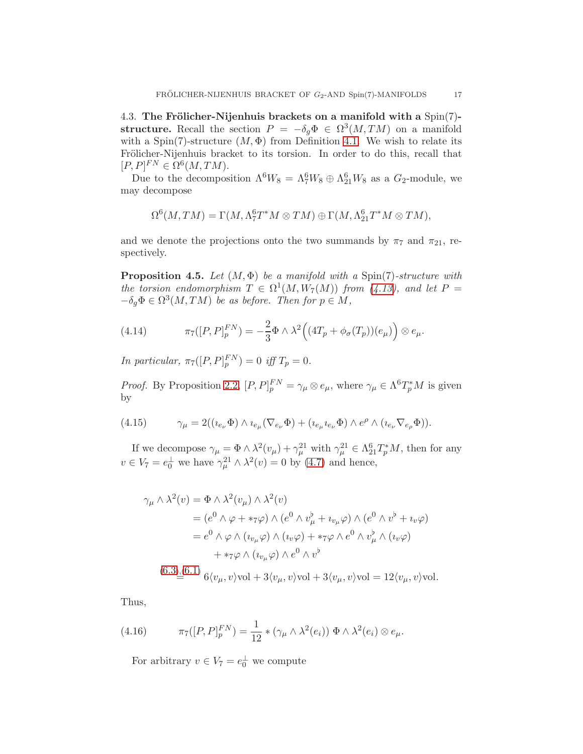4.3. The Frölicher-Nijenhuis brackets on a manifold with a  $Spin(7)$ structure. Recall the section  $P = -\delta_g \Phi \in \Omega^3(M, TM)$  on a manifold with a Spin(7)-structure  $(M, \Phi)$  from Definition [4.1.](#page-12-2) We wish to relate its Frölicher-Nijenhuis bracket to its torsion. In order to do this, recall that  $[P, P]^{FN} \in \Omega^6(M, TM).$ 

Due to the decomposition  $\Lambda^6 W_8 = \Lambda_7^6 W_8 \oplus \Lambda_{21}^6 W_8$  as a  $G_2$ -module, we may decompose

$$
\Omega^6(M,TM)=\Gamma(M,\Lambda^6_7T^*M\otimes TM)\oplus\Gamma(M,\Lambda^6_{21}T^*M\otimes TM),
$$

and we denote the projections onto the two summands by  $\pi_7$  and  $\pi_{21}$ , respectively.

**Proposition 4.5.** Let  $(M, \Phi)$  be a manifold with a Spin(7)-structure with the torsion endomorphism  $T \in \Omega^1(M, W_7(M))$  from [\(4.13\)](#page-15-0), and let P =  $-\delta_g \Phi \in \Omega^3(M,TM)$  be as before. Then for  $p \in M$ ,

<span id="page-16-1"></span>(4.14) 
$$
\pi_7([P,P]_p^{FN}) = -\frac{2}{3}\Phi \wedge \lambda^2((4T_p + \phi_\sigma(T_p))(e_\mu)) \otimes e_\mu.
$$

In particular,  $\pi_7([P, P]_p^F) = 0$  iff  $T_p = 0$ .

*Proof.* By Proposition [2.2,](#page-4-1)  $[P, P]_p^{FN} = \gamma_\mu \otimes e_\mu$ , where  $\gamma_\mu \in \Lambda^6 T_p^* M$  is given by

(4.15) 
$$
\gamma_{\mu} = 2((\imath_{e_{\nu}}\Phi) \wedge \imath_{e_{\mu}}(\nabla_{e_{\nu}}\Phi) + (\imath_{e_{\mu}}\imath_{e_{\nu}}\Phi) \wedge e^{\rho} \wedge (\imath_{e_{\nu}}\nabla_{e_{\rho}}\Phi)).
$$

If we decompose  $\gamma_{\mu} = \Phi \wedge \lambda^2(v_{\mu}) + \gamma_{\mu}^{21}$  with  $\gamma_{\mu}^{21} \in \Lambda_{21}^6 T_p^* M$ , then for any  $v \in V_7 = e_0^{\perp}$  we have  $\gamma_{\mu}^{21} \wedge \lambda^2(v) = 0$  by [\(4.7\)](#page-14-4) and hence,

$$
\gamma_{\mu} \wedge \lambda^{2}(v) = \Phi \wedge \lambda^{2}(v_{\mu}) \wedge \lambda^{2}(v)
$$
  
\n
$$
= (e^{0} \wedge \varphi + *_{7}\varphi) \wedge (e^{0} \wedge v_{\mu}^{b} + i_{v\mu}\varphi) \wedge (e^{0} \wedge v^{b} + i_{v}\varphi)
$$
  
\n
$$
= e^{0} \wedge \varphi \wedge (i_{v\mu}\varphi) \wedge (i_{v}\varphi) + *_{7}\varphi \wedge e^{0} \wedge v_{\mu}^{b} \wedge (i_{v}\varphi)
$$
  
\n
$$
+ *_{7}\varphi \wedge (i_{v\mu}\varphi) \wedge e^{0} \wedge v^{b}
$$
  
\n(6.3)<sub>1</sub>(6.1)  
\n
$$
6\langle v_{\mu}, v \rangle vol + 3\langle v_{\mu}, v \rangle vol + 3\langle v_{\mu}, v \rangle vol = 12\langle v_{\mu}, v \rangle vol.
$$

Thus,

(4.16) 
$$
\pi_7([P, P]_p^{FN}) = \frac{1}{12} * (\gamma_\mu \wedge \lambda^2(e_i)) \Phi \wedge \lambda^2(e_i) \otimes e_\mu.
$$

<span id="page-16-0"></span>For arbitrary  $v \in V_7 = e_0^{\perp}$  we compute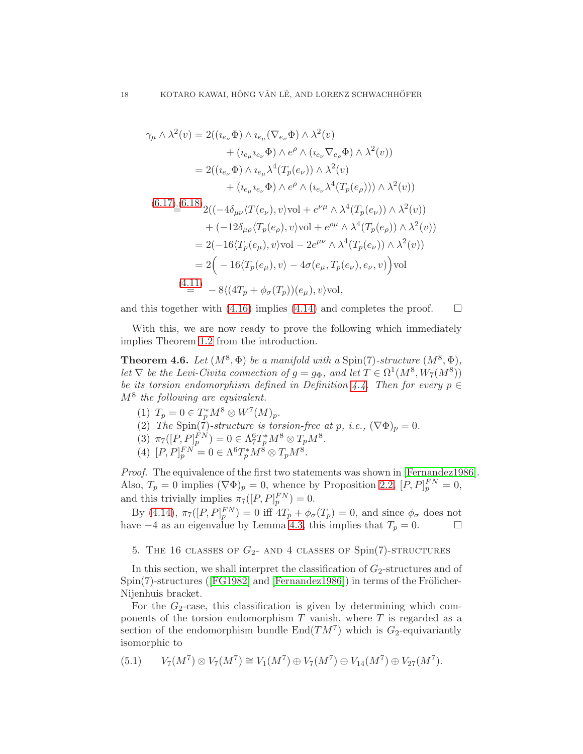$$
\gamma_{\mu} \wedge \lambda^{2}(v) = 2((\imath_{e_{\nu}}\Phi) \wedge \imath_{e_{\mu}}(\nabla_{e_{\nu}}\Phi) \wedge \lambda^{2}(v) \n+ (\imath_{e_{\mu}}\imath_{e_{\nu}}\Phi) \wedge e^{\rho} \wedge (\imath_{e_{\nu}}\nabla_{e_{\rho}}\Phi) \wedge \lambda^{2}(v)) \n= 2((\imath_{e_{\nu}}\Phi) \wedge \imath_{e_{\mu}}\lambda^{4}(T_{p}(e_{\nu})) \wedge \lambda^{2}(v) \n+ (\imath_{e_{\mu}}\imath_{e_{\nu}}\Phi) \wedge e^{\rho} \wedge (\imath_{e_{\nu}}\lambda^{4}(T_{p}(e_{\rho}))) \wedge \lambda^{2}(v)) \n(6.17)_{\leq} (6.18)_{2} ((-4\delta_{\mu\nu}\langle T(e_{\nu}), v\rangle \text{vol} + e^{\nu\mu} \wedge \lambda^{4}(T_{p}(e_{\nu})) \wedge \lambda^{2}(v)) \n+ (-12\delta_{\mu\rho}\langle T_{p}(e_{\rho}), v\rangle \text{vol} + e^{\rho\mu} \wedge \lambda^{4}(T_{p}(e_{\rho})) \wedge \lambda^{2}(v)) \n= 2(-16\langle T_{p}(e_{\mu}), v\rangle \text{vol} - 2e^{\mu\nu} \wedge \lambda^{4}(T_{p}(e_{\nu})) \wedge \lambda^{2}(v)) \n= 2(-16\langle T_{p}(e_{\mu}), v\rangle - 4\sigma(e_{\mu}, T_{p}(e_{\nu}), e_{\nu}, v) \text{vol} \n(4.11)_{-8}\langle (4T_{p} + \phi_{\sigma}(T_{p})) (e_{\mu}), v\rangle \text{vol},
$$

and this together with [\(4.16\)](#page-16-0) implies [\(4.14\)](#page-16-1) and completes the proof.  $\Box$ 

With this, we are now ready to prove the following which immediately implies Theorem [1.2](#page-2-1) from the introduction.

<span id="page-17-1"></span>**Theorem 4.6.** Let  $(M^8, \Phi)$  be a manifold with a Spin(7)-structure  $(M^8, \Phi)$ , let  $\nabla$  be the Levi-Civita connection of  $g = g_{\Phi}$ , and let  $T \in \Omega^1(M^8, W_7(M^8))$ be its torsion endomorphism defined in Definition [4.4.](#page-15-1) Then for every  $p \in$  $M^8$  the following are equivalent.

- (1)  $T_p = 0 \in T_p^*M^8 \otimes W^7(M)_p.$
- (2) The Spin(7)-structure is torsion-free at p, i.e.,  $(\nabla \Phi)_p = 0$ .
- (3)  $\pi_7([P,P]_p^{FN}) = 0 \in \Lambda_7^6 T_p^* M^8 \otimes T_p M^8.$
- (4)  $[P, P]_p^{FN} = 0 \in \Lambda^6 T_p^* M^8 \otimes T_p M^8.$

Proof. The equivalence of the first two statements was shown in [\[Fernandez1986\]](#page-23-1). Also,  $T_p = 0$  implies  $(\nabla \Phi)_p = 0$ , whence by Proposition [2.2,](#page-4-1)  $[P, P]_p^{FN} = 0$ , and this trivially implies  $\pi_7([P, P]_p^{FN}) = 0$ .

By [\(4.14\)](#page-16-1),  $\pi_7([P, P]_p^{\text{FN}}) = 0$  iff  $4T_p + \phi_\sigma(T_p) = 0$ , and since  $\phi_\sigma$  does not have  $-4$  as an eigenvalue by Lemma [4.3,](#page-14-6) this implies that  $T_p = 0$ .  $\Box$ 

<span id="page-17-0"></span>5. THE 16 CLASSES OF  $G_2$ - AND 4 CLASSES OF  $Spin(7)$ -STRUCTURES

In this section, we shall interpret the classification of  $G_2$ -structures and of  $Spin(7)$ -structures([\[FG1982\]](#page-23-0) and [\[Fernandez1986\]](#page-23-1)) in terms of the Frölicher-Nijenhuis bracket.

For the  $G_2$ -case, this classification is given by determining which components of the torsion endomorphism  $T$  vanish, where  $T$  is regarded as a section of the endomorphism bundle  $\text{End}(TM^7)$  which is  $G_2$ -equivariantly isomorphic to

$$
(5.1) \t V_7(M^7) \otimes V_7(M^7) \cong V_1(M^7) \oplus V_7(M^7) \oplus V_{14}(M^7) \oplus V_{27}(M^7).
$$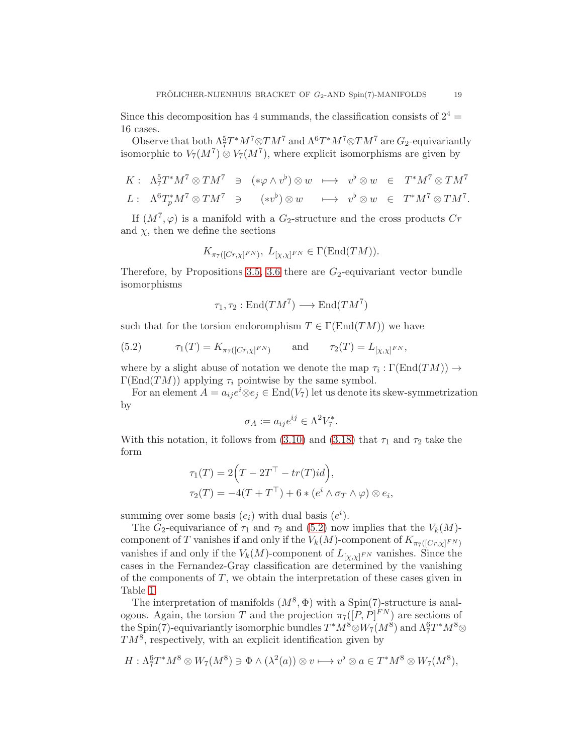Since this decomposition has 4 summands, the classification consists of  $2^4$  = 16 cases.

Observe that both  $\Lambda^5_7T^*M^7\otimes TM^7$  and  $\Lambda^6T^*M^7\otimes TM^7$  are  $G_2$ -equivariantly isomorphic to  $V_7(M^7) \otimes V_7(M^7)$ , where explicit isomorphisms are given by

$$
K: \Lambda_7^5 T^* M^7 \otimes T M^7 \ni (\ast \varphi \wedge v^{\flat}) \otimes w \ \longmapsto \ v^{\flat} \otimes w \ \in \ T^* M^7 \otimes T M^7
$$
  

$$
L: \Lambda^6 T_p^* M^7 \otimes T M^7 \ni (\ast v^{\flat}) \otimes w \ \longmapsto \ v^{\flat} \otimes w \ \in \ T^* M^7 \otimes T M^7.
$$

If  $(M^7, \varphi)$  is a manifold with a  $G_2$ -structure and the cross products  $Cr$ and  $\chi$ , then we define the sections

$$
K_{\pi_7([Cr,\chi]^{FN})}, L_{[\chi,\chi]^{FN}} \in \Gamma(\text{End}(TM)).
$$

Therefore, by Propositions [3.5,](#page-8-4) [3.6](#page-10-4) there are  $G_2$ -equivariant vector bundle isomorphisms

$$
\tau_1, \tau_2 : \text{End}(TM^7) \longrightarrow \text{End}(TM^7)
$$

such that for the torsion endoromphism  $T \in \Gamma(\text{End}(TM))$  we have

<span id="page-18-0"></span>(5.2) 
$$
\tau_1(T) = K_{\pi_7([Cr,\chi]^{FN})}
$$
 and  $\tau_2(T) = L_{[\chi,\chi]^{FN}}$ ,

where by a slight abuse of notation we denote the map  $\tau_i : \Gamma(\text{End}(TM)) \to$  $\Gamma(\text{End}(TM))$  applying  $\tau_i$  pointwise by the same symbol.

For an element  $A = a_{ij}e^i \otimes e_j \in \text{End}(V_7)$  let us denote its skew-symmetrization by

$$
\sigma_A := a_{ij} e^{ij} \in \Lambda^2 V_7^*.
$$

With this notation, it follows from [\(3.10\)](#page-8-3) and [\(3.18\)](#page-10-3) that  $\tau_1$  and  $\tau_2$  take the form

$$
\tau_1(T) = 2\Big(T - 2T^{\top} - tr(T)id\Big),
$$
  
\n
$$
\tau_2(T) = -4(T + T^{\top}) + 6 * (e^i \wedge \sigma_T \wedge \varphi) \otimes e_i,
$$

summing over some basis  $(e_i)$  with dual basis  $(e^i)$ .

The  $G_2$ -equivariance of  $\tau_1$  and  $\tau_2$  and [\(5.2\)](#page-18-0) now implies that the  $V_k(M)$ component of T vanishes if and only if the  $V_k(M)$ -component of  $K_{\pi_7([Cr,\chi]^{FN})}$ vanishes if and only if the  $V_k(M)$ -component of  $L_{[\chi,\chi]^{\text{FN}}}$  vanishes. Since the cases in the Fernandez-Gray classification are determined by the vanishing of the components of  $T$ , we obtain the interpretation of these cases given in Table [1.](#page-19-0)

The interpretation of manifolds  $(M^8, \Phi)$  with a Spin(7)-structure is analogous. Again, the torsion T and the projection  $\pi_7([P, P]^{FN})$  are sections of the Spin(7)-equivariantly isomorphic bundles  $T^*M^8 \otimes W_7(M^8)$  and  $\Lambda^6_7T^*M^8 \otimes$  $TM^8$ , respectively, with an explicit identification given by

$$
H: \Lambda^6_T T^* M^8 \otimes W_7(M^8) \ni \Phi \wedge (\lambda^2(a)) \otimes v \longmapsto v^{\flat} \otimes a \in T^* M^8 \otimes W_7(M^8),
$$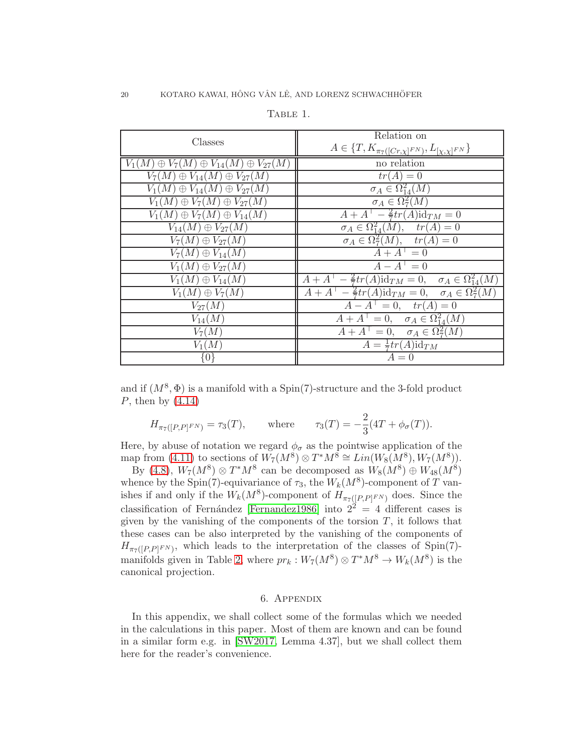| Classes                                                  | Relation on                                                                                 |
|----------------------------------------------------------|---------------------------------------------------------------------------------------------|
|                                                          | $A \in \{T, K_{\pi_7([Cr,\chi]^{FN})}, L_{[\chi,\chi]^{FN}}\}$                              |
| $V_1(M) \oplus V_7(M) \oplus V_{14}(M) \oplus V_{27}(M)$ | no relation                                                                                 |
| $V_7(M) \oplus V_{14}(M) \oplus V_{27}(M)$               | $tr(A)=0$                                                                                   |
| $V_1(M)\oplus V_{14}(M)\oplus V_{27}(M)$                 | $\sigma_A \in \Omega^2_{14}(M)$                                                             |
| $V_1(M) \oplus V_7(M) \oplus V_{27}(M)$                  | $\sigma_A \in \Omega^2_7(M)$                                                                |
| $V_1(M) \oplus V_7(M) \oplus V_{14}(M)$                  | $A + A^{T} - \frac{2}{7}tr(A)id_{TM} = 0$                                                   |
| $V_{14}(M)\oplus V_{27}(M)$                              | $\sigma_A \in \Omega^2_{14}(M)$ , $tr(A) = 0$                                               |
| $V_7(M)\oplus V_{27}(M)$                                 | $\sigma_A \in \Omega^2_7(M), \quad tr(A) = 0$                                               |
| $V_7(M) \oplus V_{14}(M)$                                | $A + A^{+} = 0$                                                                             |
| $V_1(M)\oplus V_{27}(M)$                                 | $A - A^{+} = 0$                                                                             |
| $V_1(M)\oplus V_{14}(M)$                                 | $A + A^{\top} - \frac{2}{7}tr(A) \mathrm{id}_{TM} = 0, \quad \sigma_A \in \Omega^2_{14}(M)$ |
| $V_1(M) \oplus V_7(M)$                                   | $A + A^{\top} - \frac{2}{7}tr(A) \mathrm{id}_{T_M} = 0, \quad \sigma_A \in \Omega^2_7(M)$   |
| $V_{27}(M)$                                              | $A - A^{T} = 0$ , $tr(A) = 0$                                                               |
| $V_{14}(M)$                                              | $\overline{A + A^{\top}} = 0$ , $\sigma_A \in \Omega^2_{14}(M)$                             |
| $V_7(M)$                                                 | $A + A^{\top} = 0$ , $\sigma_A \in \Omega^2_7(M)$                                           |
| $V_1(M)$                                                 | $A=\frac{1}{7}tr(A)\mathrm{id}_{TM}$                                                        |
| $\{0\}$                                                  | $A=0$                                                                                       |

<span id="page-19-0"></span>TABLE 1.

and if  $(M^8, \Phi)$  is a manifold with a Spin(7)-structure and the 3-fold product  $P$ , then by  $(4.14)$ 

$$
H_{\pi_7([P,P]^{FN})} = \tau_3(T)
$$
, where  $\tau_3(T) = -\frac{2}{3}(4T + \phi_\sigma(T))$ .

Here, by abuse of notation we regard  $\phi_{\sigma}$  as the pointwise application of the map from [\(4.11\)](#page-14-5) to sections of  $W_7(M^8) \otimes T^*M^8 \cong Lin(W_8(M^8), W_7(M^8)).$ 

By [\(4.8\)](#page-14-2),  $W_7(M^8) \otimes T^*M^8$  can be decomposed as  $W_8(M^8) \oplus W_{48}(M^8)$ whence by the Spin(7)-equivariance of  $\tau_3$ , the  $W_k(M^8)$ -component of T vanishes if and only if the  $W_k(M^8)$ -component of  $H_{\pi_7([P,P]^{FN})}$  does. Since the classification of Fernández [\[Fernandez1986\]](#page-23-1) into  $2^2 = 4$  different cases is given by the vanishing of the components of the torsion  $T$ , it follows that these cases can be also interpreted by the vanishing of the components of  $H_{\pi_7([P,P]^{FN})}$ , which leads to the interpretation of the classes of Spin(7)-manifolds given in Table [2,](#page-20-13) where  $pr_k: W_7(M^8) \otimes T^*M^8 \to W_k(M^8)$  is the canonical projection.

### 6. Appendix

In this appendix, we shall collect some of the formulas which we needed in the calculations in this paper. Most of them are known and can be found in a similar form e.g. in [\[SW2017,](#page-24-8) Lemma 4.37], but we shall collect them here for the reader's convenience.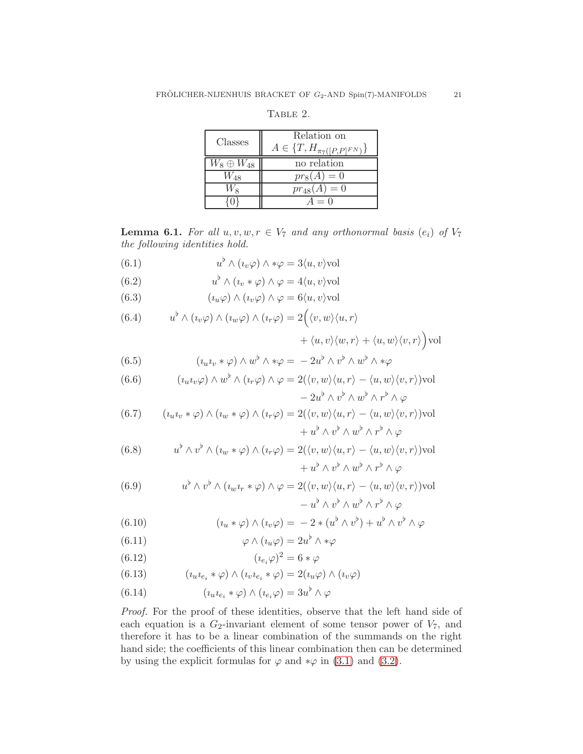| Classes            | Relation on<br>$A \in \{T, H_{\pi_7([P,P]^{FN})}\}$ |
|--------------------|-----------------------------------------------------|
| $W_8\oplus W_{48}$ | no relation                                         |
| $W_{48}$           | $pr_8(A) = 0$                                       |
|                    | $pr_{48}(A) = 0$                                    |
|                    | $A=0$                                               |

<span id="page-20-13"></span>TABLE 2.

**Lemma 6.1.** For all  $u, v, w, r \in V_7$  and any orthonormal basis  $(e_i)$  of  $V_7$ the following identities hold.

<span id="page-20-0"></span>(6.1) 
$$
u^{\flat} \wedge (i_v \varphi) \wedge * \varphi = 3 \langle u, v \rangle \text{vol}
$$

<span id="page-20-8"></span>(6.2) 
$$
u^{\flat} \wedge (i_v * \varphi) \wedge \varphi = 4 \langle u, v \rangle \text{vol}
$$

<span id="page-20-1"></span>(6.3) 
$$
(i_u \varphi) \wedge (i_v \varphi) \wedge \varphi = 6 \langle u, v \rangle \text{vol}
$$

<span id="page-20-2"></span>(6.4) 
$$
u^{\flat} \wedge (i_{v} \varphi) \wedge (i_{w} \varphi) \wedge (i_{r} \varphi) = 2((v, w) \langle u, r \rangle)
$$

$$
+\langle u, v \rangle \langle w, r \rangle + \langle u, w \rangle \langle v, r \rangle)
$$
vol

<span id="page-20-14"></span>(6.5) 
$$
(i_u i_v * \varphi) \wedge w^{\flat} \wedge * \varphi = -2u^{\flat} \wedge v^{\flat} \wedge w^{\flat} \wedge * \varphi
$$

<span id="page-20-3"></span>(6.6) 
$$
(i_u i_v \varphi) \wedge w^{\flat} \wedge (i_r \varphi) \wedge \varphi = 2(\langle v, w \rangle \langle u, r \rangle - \langle u, w \rangle \langle v, r \rangle) \text{vol} - 2u^{\flat} \wedge v^{\flat} \wedge w^{\flat} \wedge r^{\flat} \wedge \varphi
$$

<span id="page-20-6"></span>(6.7) 
$$
(i_u i_v * \varphi) \wedge (i_w * \varphi) \wedge (i_r \varphi) = 2(\langle v, w \rangle \langle u, r \rangle - \langle u, w \rangle \langle v, r \rangle) \text{vol} + u^{\flat} \wedge v^{\flat} \wedge w^{\flat} \wedge r^{\flat} \wedge \varphi
$$

<span id="page-20-9"></span>(6.8) 
$$
u^{\flat} \wedge v^{\flat} \wedge (i_w * \varphi) \wedge (i_r \varphi) = 2(\langle v, w \rangle \langle u, r \rangle - \langle u, w \rangle \langle v, r \rangle) \text{vol} + u^{\flat} \wedge v^{\flat} \wedge w^{\flat} \wedge r^{\flat} \wedge \varphi
$$

<span id="page-20-10"></span>(6.9) 
$$
u^{\flat} \wedge v^{\flat} \wedge (u_{w}v_{r} * \varphi) \wedge \varphi = 2(\langle v, w \rangle \langle u, r \rangle - \langle u, w \rangle \langle v, r \rangle) \text{vol} - u^{\flat} \wedge v^{\flat} \wedge w^{\flat} \wedge r^{\flat} \wedge \varphi
$$

<span id="page-20-5"></span>(6.10) 
$$
(i_u * \varphi) \wedge (i_v \varphi) = -2 * (u^{\flat} \wedge v^{\flat}) + u^{\flat} \wedge v^{\flat} \wedge \varphi
$$

<span id="page-20-12"></span>(6.11) 
$$
\varphi \wedge (i_u \varphi) = 2u^{\flat} \wedge * \varphi
$$

<span id="page-20-4"></span>
$$
(6.12)\qquad \qquad (i_{e_i}\varphi)^2 = 6*\varphi
$$

<span id="page-20-7"></span>(6.13) 
$$
(i_u i_{e_i} * \varphi) \wedge (i_v i_{e_i} * \varphi) = 2(i_u \varphi) \wedge (i_v \varphi)
$$

<span id="page-20-11"></span>(6.14) 
$$
(i_u i_{e_i} * \varphi) \wedge (i_{e_i} \varphi) = 3u^{\flat} \wedge \varphi
$$

Proof. For the proof of these identities, observe that the left hand side of each equation is a  $G_2$ -invariant element of some tensor power of  $V_7$ , and therefore it has to be a linear combination of the summands on the right hand side; the coefficients of this linear combination then can be determined by using the explicit formulas for  $\varphi$  and  $*\varphi$  in [\(3.1\)](#page-5-2) and [\(3.2\)](#page-5-3).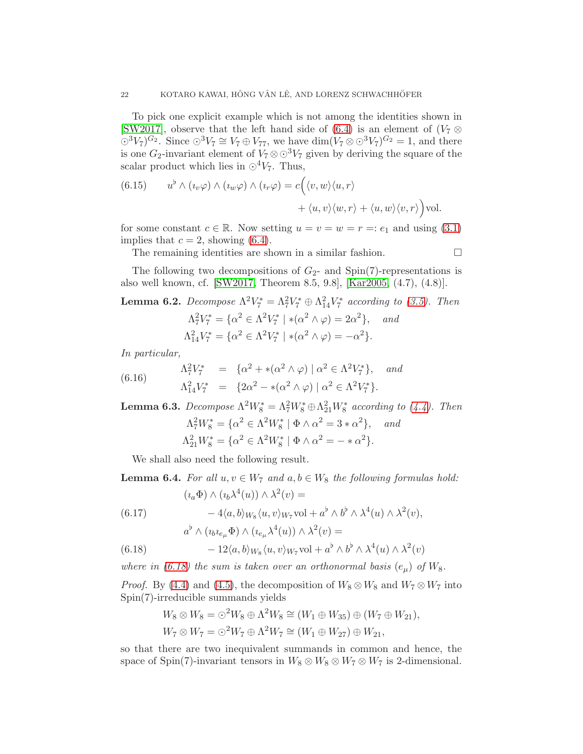To pick one explicit example which is not among the identities shown in [\[SW2017\]](#page-24-8), observe that the left hand side of [\(6.4\)](#page-20-2) is an element of ( $V_7 \otimes$  $(\odot^3 V_7)^{G_2}$ . Since  $\odot^3 V_7 \cong V_7 \oplus V_{77}$ , we have  $\dim(V_7 \otimes \odot^3 V_7)^{G_2} = 1$ , and there is one  $G_2$ -invariant element of  $V_7 \otimes \odot^3 V_7$  given by deriving the square of the scalar product which lies in  $\odot$ <sup>4</sup> $V_7$ . Thus,

(6.15) 
$$
u^{\flat} \wedge (i_{v} \varphi) \wedge (i_{w} \varphi) \wedge (i_{r} \varphi) = c \Big( \langle v, w \rangle \langle u, r \rangle + \langle u, v \rangle \langle w, r \rangle + \langle u, w \rangle \langle v, r \rangle \Big) \text{vol}.
$$

for some constant  $c \in \mathbb{R}$ . Now setting  $u = v = w = r =: e_1$  and using [\(3.1\)](#page-5-2) implies that  $c = 2$ , showing [\(6.4\)](#page-20-2).

The remaining identities are shown in a similar fashion.  $\Box$ 

The following two decompositions of  $G_2$ - and Spin(7)-representations is also well known, cf. [\[SW2017,](#page-24-8) Theorem 8.5, 9.8], [\[Kar2005,](#page-24-7) (4.7), (4.8)].

**Lemma 6.2.** Decompose  $\Lambda^2 V_7^* = \Lambda_7^2 V_7^* \oplus \Lambda_{14}^2 V_7^*$  according to [\(3.5\)](#page-6-0). Then

$$
\Lambda_7^2 V_7^* = \{ \alpha^2 \in \Lambda^2 V_7^* \mid *(\alpha^2 \wedge \varphi) = 2\alpha^2 \}, \text{ and}
$$
  

$$
\Lambda_{14}^2 V_7^* = \{ \alpha^2 \in \Lambda^2 V_7^* \mid *(\alpha^2 \wedge \varphi) = -\alpha^2 \}.
$$

In particular,

(6.16) 
$$
\Lambda_7^2 V_7^* = \{ \alpha^2 + *(\alpha^2 \wedge \varphi) \mid \alpha^2 \in \Lambda^2 V_7^* \}, \text{ and}
$$

$$
\Lambda_{14}^2 V_7^* = \{ 2\alpha^2 - *(\alpha^2 \wedge \varphi) \mid \alpha^2 \in \Lambda^2 V_7^* \}.
$$

**Lemma 6.3.** Decompose  $\Lambda^2 W_8^* = \Lambda_7^2 W_8^* \oplus \Lambda_{21}^2 W_8^*$  according to [\(4.4\)](#page-13-2). Then  $\Lambda_7^2 W_8^* = {\alpha^2 \in \Lambda^2 W_8^* \mid \Phi \wedge \alpha^2 = 3 * \alpha^2}, \text{ and}$  $\Lambda_{21}^2 W_8^* = {\alpha^2 \in \Lambda^2} W_8^* | \Phi \wedge \alpha^2 = - * \alpha^2}.$ 

We shall also need the following result.

**Lemma 6.4.** For all  $u, v \in W_7$  and  $a, b \in W_8$  the following formulas hold:

<span id="page-21-0"></span>
$$
(i_a \Phi) \wedge (i_b \lambda^4(u)) \wedge \lambda^2(v) =
$$
  
(6.17) 
$$
-4\langle a, b \rangle_{W_8} \langle u, v \rangle_{W_7} \text{vol} + a^b \wedge b^b \wedge \lambda^4(u) \wedge \lambda^2(v),
$$

$$
a^b \wedge (i_b a, \Phi) \wedge (i_b \lambda^4(u)) \wedge \lambda^2(v) =
$$

$$
a^{\flat}\wedge(\imath_{b}\imath_{e_{\mu}}\Phi)\wedge(\imath_{e_{\mu}}\lambda^{4}(u))\wedge\lambda^{2}(v)=
$$

<span id="page-21-1"></span>(6.18) 
$$
- 12\langle a,b\rangle_{W_8}\langle u,v\rangle_{W_7} \text{vol} + a^{\flat} \wedge b^{\flat} \wedge \lambda^4(u) \wedge \lambda^2(v)
$$

where in [\(6.18\)](#page-21-1) the sum is taken over an orthonormal basis  $(e_{\mu})$  of  $W_8$ .

*Proof.* By [\(4.4\)](#page-13-2) and [\(4.5\)](#page-13-0), the decomposition of  $W_8 \otimes W_8$  and  $W_7 \otimes W_7$  into Spin(7)-irreducible summands yields

$$
W_8 \otimes W_8 = \odot^2 W_8 \oplus \Lambda^2 W_8 \cong (W_1 \oplus W_{35}) \oplus (W_7 \oplus W_{21}),
$$
  

$$
W_7 \otimes W_7 = \odot^2 W_7 \oplus \Lambda^2 W_7 \cong (W_1 \oplus W_{27}) \oplus W_{21},
$$

so that there are two inequivalent summands in common and hence, the space of Spin(7)-invariant tensors in  $W_8 \otimes W_8 \otimes W_7 \otimes W_7$  is 2-dimensional.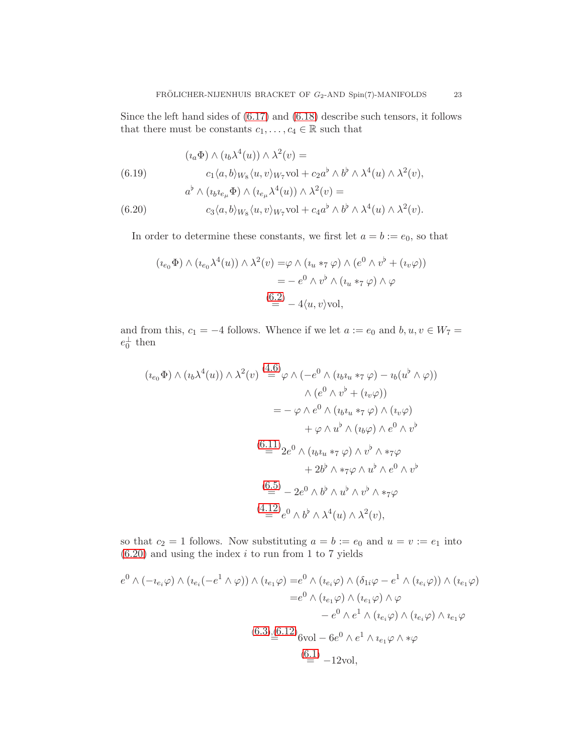Since the left hand sides of [\(6.17\)](#page-21-0) and [\(6.18\)](#page-21-1) describe such tensors, it follows that there must be constants  $c_1,\ldots,c_4\in\mathbb{R}$  such that

(6.19)  
\n
$$
(i_a \Phi) \wedge (i_b \lambda^4(u)) \wedge \lambda^2(v) =
$$
\n
$$
c_1 \langle a, b \rangle_{W_8} \langle u, v \rangle_{W_7} \text{vol} + c_2 a^{\flat} \wedge b^{\flat} \wedge \lambda^4(u) \wedge \lambda^2(v),
$$
\n
$$
a^{\flat} \wedge (i_b i_{e_{\mu}} \Phi) \wedge (i_{e_{\mu}} \lambda^4(u)) \wedge \lambda^2(v) =
$$
\n(6.20)  
\n
$$
c_3 \langle a, b \rangle_{W_8} \langle u, v \rangle_{W_7} \text{vol} + c_4 a^{\flat} \wedge b^{\flat} \wedge \lambda^4(u) \wedge \lambda^2(v).
$$

<span id="page-22-0"></span>In order to determine these constants, we first let  $a = b := e_0$ , so that

$$
(i_{e_0}\Phi) \wedge (i_{e_0}\lambda^4(u)) \wedge \lambda^2(v) = \varphi \wedge (i_u *_{7} \varphi) \wedge (e^0 \wedge v^{\flat} + (i_v \varphi))
$$
  
=  $-e^0 \wedge v^{\flat} \wedge (i_u *_{7} \varphi) \wedge \varphi$   
 $\stackrel{(6.2)}{=} -4\langle u, v \rangle \text{vol},$ 

and from this,  $c_1 = -4$  follows. Whence if we let  $a := e_0$  and  $b, u, v \in W_7 =$  $e_0^{\perp}$  then

$$
(i_{e_0}\Phi) \wedge (i_b\lambda^4(u)) \wedge \lambda^2(v) \stackrel{(4.6)}{=} \varphi \wedge (-e^0 \wedge (i_bi_u *_{7}\varphi) - i_b(u^b \wedge \varphi))
$$
  

$$
\wedge (e^0 \wedge v^b + (i_v\varphi))
$$
  

$$
= -\varphi \wedge e^0 \wedge (i_bi_u *_{7}\varphi) \wedge (i_v\varphi)
$$
  

$$
+ \varphi \wedge u^b \wedge (i_b\varphi) \wedge e^0 \wedge v^b
$$
  

$$
\stackrel{(6.11)}{=} 2e^0 \wedge (i_bi_u *_{7}\varphi) \wedge v^b \wedge *_{7}\varphi
$$
  

$$
+ 2b^b \wedge *_{7}\varphi \wedge u^b \wedge e^0 \wedge v^b
$$
  

$$
\stackrel{(6.5)}{=} -2e^0 \wedge b^b \wedge u^b \wedge v^b \wedge *_{7}\varphi
$$
  

$$
\stackrel{(4.12)}{=} e^0 \wedge b^b \wedge \lambda^4(u) \wedge \lambda^2(v),
$$

so that  $c_2 = 1$  follows. Now substituting  $a = b := e_0$  and  $u = v := e_1$  into  $(6.20)$  and using the index i to run from 1 to 7 yields

$$
e^{0} \wedge (-i_{e_i}\varphi) \wedge (i_{e_i}(-e^{1} \wedge \varphi)) \wedge (i_{e_1}\varphi) = e^{0} \wedge (i_{e_i}\varphi) \wedge (\delta_{1i}\varphi - e^{1} \wedge (i_{e_i}\varphi)) \wedge (i_{e_1}\varphi)
$$
  
\n
$$
= e^{0} \wedge (i_{e_1}\varphi) \wedge (i_{e_1}\varphi) \wedge \varphi
$$
  
\n
$$
- e^{0} \wedge e^{1} \wedge (i_{e_i}\varphi) \wedge (i_{e_i}\varphi) \wedge i_{e_1}\varphi
$$
  
\n(6.3)<sub>1</sub>(6.12)  
\n
$$
6\text{vol} - 6e^{0} \wedge e^{1} \wedge i_{e_1}\varphi \wedge *\varphi
$$
  
\n
$$
\stackrel{(6.1)}{=} -12\text{vol},
$$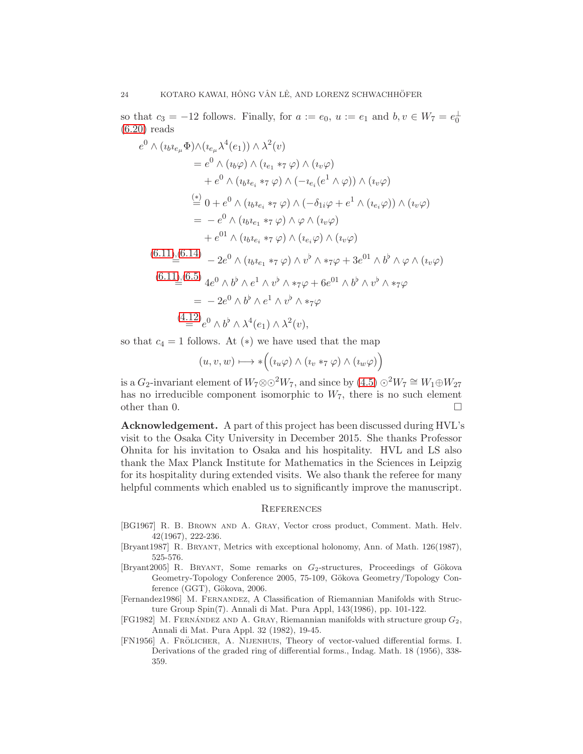so that  $c_3 = -12$  follows. Finally, for  $a := e_0$ ,  $u := e_1$  and  $b, v \in W_7 = e_0^{\perp}$  $(6.20)$  reads

$$
e^{0} \wedge (i_{b}i_{e_{\mu}}\Phi) \wedge (i_{e_{\mu}}\lambda^{4}(e_{1})) \wedge \lambda^{2}(v)
$$
  
\n
$$
= e^{0} \wedge (i_{b}\varphi) \wedge (i_{e_{1}} *_{7} \varphi) \wedge (i_{v}\varphi)
$$
  
\n
$$
+ e^{0} \wedge (i_{b}i_{e_{i}} *_{7} \varphi) \wedge (-i_{e_{i}}(e^{1} \wedge \varphi)) \wedge (i_{v}\varphi)
$$
  
\n
$$
\stackrel{(*)}{=} 0 + e^{0} \wedge (i_{b}i_{e_{i}} *_{7} \varphi) \wedge (-\delta_{1i}\varphi + e^{1} \wedge (i_{e_{i}}\varphi)) \wedge (i_{v}\varphi)
$$
  
\n
$$
= -e^{0} \wedge (i_{b}i_{e_{1}} *_{7} \varphi) \wedge \varphi \wedge (i_{v}\varphi)
$$
  
\n
$$
+ e^{01} \wedge (i_{b}i_{e_{i}} *_{7} \varphi) \wedge (i_{e_{i}}\varphi) \wedge (i_{v}\varphi)
$$
  
\n
$$
(6.11)_{\underline{.}}(6.14) - 2e^{0} \wedge (i_{b}i_{e_{1}} *_{7} \varphi) \wedge v^{b} \wedge *_{7}\varphi + 3e^{01} \wedge b^{b} \wedge \varphi \wedge (i_{v}\varphi)
$$
  
\n
$$
(6.11)_{\underline{.}}(6.5) - 4e^{0} \wedge b^{b} \wedge e^{1} \wedge v^{b} \wedge *_{7}\varphi + 6e^{01} \wedge b^{b} \wedge v^{b} \wedge *_{7}\varphi
$$
  
\n
$$
= -2e^{0} \wedge b^{b} \wedge e^{1} \wedge v^{b} \wedge *_{7}\varphi
$$
  
\n
$$
(4.12)_{e} \wedge b^{b} \wedge \lambda^{4}(e_{1}) \wedge \lambda^{2}(v),
$$

so that  $c_4 = 1$  follows. At  $(*)$  we have used that the map

$$
(u,v,w)\longmapsto *\Bigl((\imath_u\varphi)\wedge(\imath_v\ast_7\varphi)\wedge(\imath_w\varphi)\Bigr)
$$

is a  $G_2$ -invariant element of  $W_7 \otimes \odot^2 W_7$ , and since by  $(4.5) \odot^2 W_7 \cong W_1 \oplus W_{27}$ has no irreducible component isomorphic to  $W_7$ , there is no such element other than 0.

Acknowledgement. A part of this project has been discussed during HVL's visit to the Osaka City University in December 2015. She thanks Professor Ohnita for his invitation to Osaka and his hospitality. HVL and LS also thank the Max Planck Institute for Mathematics in the Sciences in Leipzig for its hospitality during extended visits. We also thank the referee for many helpful comments which enabled us to significantly improve the manuscript.

### **REFERENCES**

- <span id="page-23-2"></span>[BG1967] R. B. Brown and A. Gray, Vector cross product, Comment. Math. Helv. 42(1967), 222-236.
- <span id="page-23-4"></span>[Bryant1987] R. Bryant, Metrics with exceptional holonomy, Ann. of Math. 126(1987), 525-576.
- <span id="page-23-5"></span>[Bryant2005] R. BRYANT, Some remarks on  $G_2$ -structures, Proceedings of Gökova Geometry-Topology Conference 2005, 75-109, Gökova Geometry/Topology Con $f$ erence  $(GGT)$ , Gökova, 2006.
- <span id="page-23-1"></span>[Fernandez1986] M. Fernandez, A Classification of Riemannian Manifolds with Structure Group Spin(7). Annali di Mat. Pura Appl, 143(1986), pp. 101-122.
- <span id="page-23-0"></span>[FG1982] M. FERNANDEZ AND A. GRAY, Riemannian manifolds with structure group  $G_2$ , Annali di Mat. Pura Appl. 32 (1982), 19-45.
- <span id="page-23-3"></span>[FN1956] A. FRÖLICHER, A. NIJENHUIS, Theory of vector-valued differential forms. I. Derivations of the graded ring of differential forms., Indag. Math. 18 (1956), 338- 359.